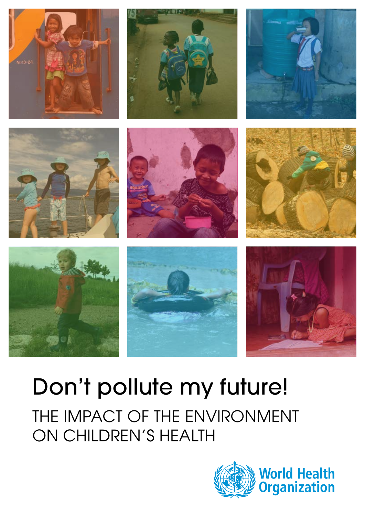

# Don't pollute my future! THE IMPACT OF THE ENVIRONMENT ON CHILDREN'S HEALTH

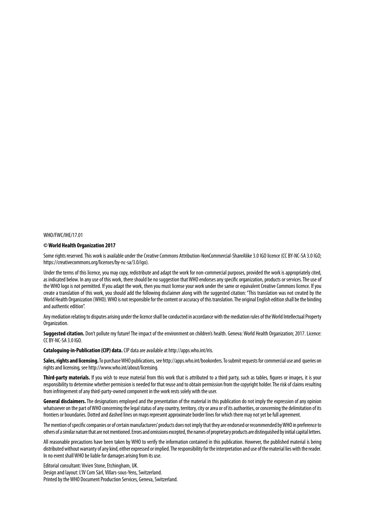#### WHO/FWC/IHE/17.01

#### **© World Health Organization 2017**

Some rights reserved. This work is available under the Creative Commons Attribution-NonCommercial-ShareAlike 3.0 IGO licence (CC BY-NC-SA 3.0 IGO; <https://creativecommons.org/licenses/by-nc-sa/3.0/igo>).

Under the terms of this licence, you may copy, redistribute and adapt the work for non-commercial purposes, provided the work is appropriately cited, as indicated below. In any use of this work, there should be no suggestion that WHO endorses any specific organization, products or services. The use of the WHO logo is not permitted. If you adapt the work, then you must license your work under the same or equivalent Creative Commons licence. If you create a translation of this work, you should add the following disclaimer along with the suggested citation: "This translation was not created by the World Health Organization (WHO). WHO is not responsible for the content or accuracy of this translation. The original English edition shall be the binding and authentic edition".

Any mediation relating to disputes arising under the licence shall be conducted in accordance with the mediation rules of the World Intellectual Property Organization.

**Suggested citation.** Don't pollute my future! The impact of the environment on children's health. Geneva: World Health Organization; 2017. Licence: CC BY-NC-SA 3.0 IGO.

**Cataloguing-in-Publication (CIP) data.** CIP data are available at [http://apps.who.int/iris.](http://apps.who.int/iris)

**Sales, rights and licensing.** To purchase WHO publications, see <http://apps.who.int/bookorders>. To submit requests for commercial use and queries on rights and licensing, see<http://www.who.int/about/licensing>.

**Third-party materials.** If you wish to reuse material from this work that is attributed to a third party, such as tables, figures or images, it is your responsibility to determine whether permission is needed for that reuse and to obtain permission from the copyright holder. The risk of claims resulting from infringement of any third-party-owned component in the work rests solely with the user.

**General disclaimers.** The designations employed and the presentation of the material in this publication do not imply the expression of any opinion whatsoever on the part of WHO concerning the legal status of any country, territory, city or area or of its authorities, or concerning the delimitation of its frontiers or boundaries. Dotted and dashed lines on maps represent approximate border lines for which there may not yet be full agreement.

The mention of specific companies or of certain manufacturers' products does not imply that they are endorsed or recommended by WHO in preference to others of a similar nature that are not mentioned. Errors and omissions excepted, the names of proprietary products are distinguished by initial capital letters.

All reasonable precautions have been taken by WHO to verify the information contained in this publication. However, the published material is being distributed without warranty of any kind, either expressed or implied. The responsibility for the interpretation and use of the material lies with the reader. In no event shall WHO be liable for damages arising from its use.

Editorial consultant: Vivien Stone, Etchingham, UK. Design and layout: L'IV Com Sàrl, Villars-sous-Yens, Switzerland. Printed by the WHO Document Production Services, Geneva, Switzerland.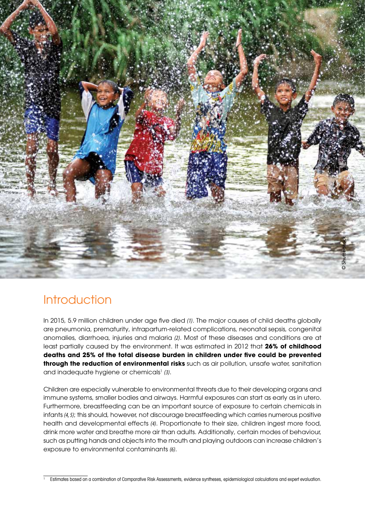

## Introduction

In 2015, 5.9 million children under age five died *(1)*. The major causes of child deaths globally are pneumonia, prematurity, intrapartum-related complications, neonatal sepsis, congenital anomalies, diarrhoea, injuries and malaria *(2)*. Most of these diseases and conditions are at least partially caused by the environment. It was estimated in 2012 that **26% of childhood deaths and 25% of the total disease burden in children under five could be prevented through the reduction of environmental risks** such as air pollution, unsafe water, sanitation and inadequate hygiene or chemicals<sup>1</sup> (3).

Children are especially vulnerable to environmental threats due to their developing organs and immune systems, smaller bodies and airways. Harmful exposures can start as early as in utero. Furthermore, breastfeeding can be an important source of exposure to certain chemicals in infants *(4, 5)*; this should, however, not discourage breastfeeding which carries numerous positive health and developmental effects *(4)*. Proportionate to their size, children ingest more food, drink more water and breathe more air than adults. Additionally, certain modes of behaviour, such as putting hands and objects into the mouth and playing outdoors can increase children's exposure to environmental contaminants *(6)*.

<sup>1</sup> Estimates based on a combination of Comparative Risk Assessments, evidence syntheses, epidemiological calculations and expert evaluation.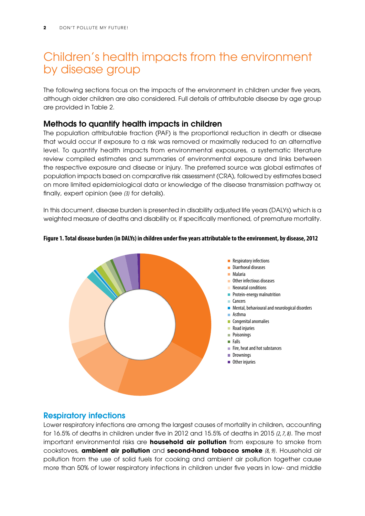## Children's health impacts from the environment by disease group

The following sections focus on the impacts of the environment in children under five years, although older children are also considered. Full details of attributable disease by age group are provided in Table 2.

## Methods to quantify health impacts in children

The population attributable fraction (PAF) is the proportional reduction in death or disease that would occur if exposure to a risk was removed or maximally reduced to an alternative level. To quantify health impacts from environmental exposures, a systematic literature review compiled estimates and summaries of environmental exposure and links between the respective exposure and disease or injury. The preferred source was global estimates of population impacts based on comparative risk assessment (CRA), followed by estimates based on more limited epidemiological data or knowledge of the disease transmission pathway or, finally, expert opinion (see *(3)* for details).

In this document, disease burden is presented in disability adjusted life years (DALYs) which is a weighted measure of deaths and disability or, if specifically mentioned, of premature mortality.

#### **Figure 1. Total disease burden (in DALYs) in children under five years attributable to the environment, by disease, 2012**



## Respiratory infections

Lower respiratory infections are among the largest causes of mortality in children, accounting for 16.5% of deaths in children under five in 2012 and 15.5% of deaths in 2015 *(2, 7, 8)*. The most important environmental risks are **household air pollution** from exposure to smoke from cookstoves, **ambient air pollution** and **second-hand tobacco smoke** *(8, 9)*. Household air pollution from the use of solid fuels for cooking and ambient air pollution together cause more than 50% of lower respiratory infections in children under five years in low- and middle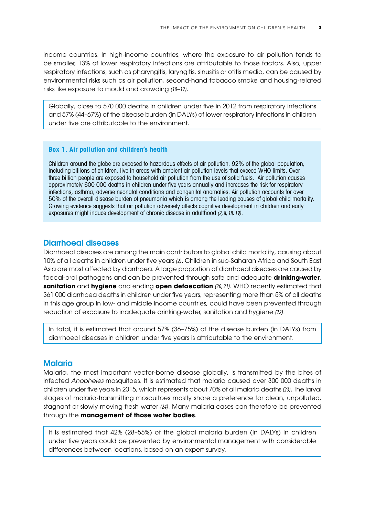income countries. In high-income countries, where the exposure to air pollution tends to be smaller, 13% of lower respiratory infections are attributable to those factors. Also, upper respiratory infections, such as pharyngitis, laryngitis, sinusitis or otitis media, can be caused by environmental risks such as air pollution, second-hand tobacco smoke and housing-related risks like exposure to mould and crowding *(10–17)*.

Globally, close to 570 000 deaths in children under five in 2012 from respiratory infections and 57% (44–67%) of the disease burden (in DALYs) of lower respiratory infections in children under five are attributable to the environment.

#### **Box 1. Air pollution and children's health**

Children around the globe are exposed to hazardous effects of air pollution. 92% of the global population, including billions of children, live in areas with ambient air pollution levels that exceed WHO limits. Over three billion people are exposed to household air pollution from the use of solid fuels.. Air pollution causes approximately 600 000 deaths in children under five years annually and increases the risk for respiratory infections, asthma, adverse neonatal conditions and congenital anomalies. Air pollution accounts for over 50% of the overall disease burden of pneumonia which is among the leading causes of global child mortality. Growing evidence suggests that air pollution adversely affects cognitive development in children and early exposures might induce development of chronic disease in adulthood *(2, 8, 18, 19)*.

#### Diarrhoeal diseases

Diarrhoeal diseases are among the main contributors to global child mortality, causing about 10% of all deaths in children under five years *(2)*. Children in sub-Saharan Africa and South East Asia are most affected by diarrhoea. A large proportion of diarrhoeal diseases are caused by faecal-oral pathogens and can be prevented through safe and adequate **drinking-water**, **sanitation** and **hygiene** and ending **open defaecation** *(20, 21)*. WHO recently estimated that 361 000 diarrhoea deaths in children under five years, representing more than 5% of all deaths in this age group in low- and middle income countries, could have been prevented through reduction of exposure to inadequate drinking-water, sanitation and hygiene *(22)*.

In total, it is estimated that around 57% (36–75%) of the disease burden (in DALYs) from diarrhoeal diseases in children under five years is attributable to the environment.

#### **Malaria**

Malaria, the most important vector-borne disease globally, is transmitted by the bites of infected *Anopheles* mosquitoes. It is estimated that malaria caused over 300 000 deaths in children under five years in 2015, which represents about 70% of all malaria deaths *(23)*. The larval stages of malaria-transmitting mosquitoes mostly share a preference for clean, unpolluted, stagnant or slowly moving fresh water *(24)*. Many malaria cases can therefore be prevented through the **management of those water bodies**.

It is estimated that 42% (28–55%) of the global malaria burden (in DALYs) in children under five years could be prevented by environmental management with considerable differences between locations, based on an expert survey.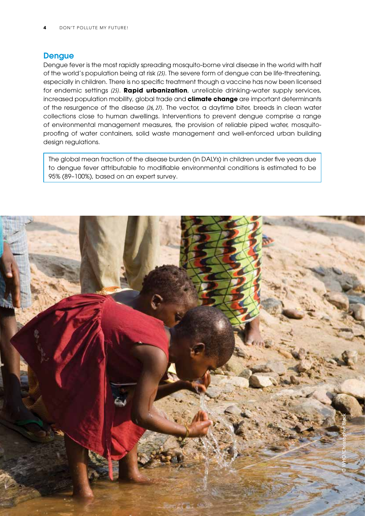### **Dengue**

Dengue fever is the most rapidly spreading mosquito-borne viral disease in the world with half of the world's population being at risk *(25)*. The severe form of dengue can be life-threatening, especially in children. There is no specific treatment though a vaccine has now been licensed for endemic settings *(25)*. **Rapid urbanization**, unreliable drinking-water supply services, increased population mobility, global trade and **climate change** are important determinants of the resurgence of the disease *(26, 27)*. The vector, a daytime biter, breeds in clean water collections close to human dwellings. Interventions to prevent dengue comprise a range of environmental management measures, the provision of reliable piped water, mosquitoproofing of water containers, solid waste management and well-enforced urban building design regulations.

The global mean fraction of the disease burden (in DALYs) in children under five years due to dengue fever attributable to modifiable environmental conditions is estimated to be 95% (89–100%), based on an expert survey.

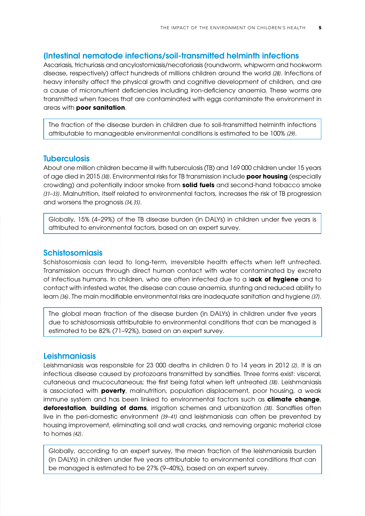#### [Intestinal nematode infections/soil-transmitted helminth infections

Ascariasis, trichuriasis and ancylostomiasis/necatoriasis (roundworm, whipworm and hookworm disease, respectively) affect hundreds of millions children around the world *(28)*. Infections of heavy intensity affect the physical growth and cognitive development of children, and are a cause of micronutrient deficiencies including iron-deficiency anaemia. These worms are transmitted when faeces that are contaminated with eggs contaminate the environment in areas with **poor sanitation**.

The fraction of the disease burden in children due to soil-transmitted helminth infections attributable to manageable environmental conditions is estimated to be 100% *(29)*.

#### **Tuberculosis**

About one million children became ill with tuberculosis (TB) and 169 000 children under 15 years of age died in 2015 *(30)*. Environmental risks for TB transmission include **poor housing** (especially crowding) and potentially indoor smoke from **solid fuels** and second-hand tobacco smoke *(31–33)*. Malnutrition, itself related to environmental factors, increases the risk of TB progression and worsens the prognosis *(34, 35)*.

Globally, 15% (4–29%) of the TB disease burden (in DALYs) in children under five years is attributed to environmental factors, based on an expert survey.

### Schistosomiasis

Schistosomiasis can lead to long-term, irreversible health effects when left untreated. Transmission occurs through direct human contact with water contaminated by excreta of infectious humans. In children, who are often infected due to a l**ack of hygiene** and to contact with infested water, the disease can cause anaemia, stunting and reduced ability to learn *(36)*. The main modifiable environmental risks are inadequate sanitation and hygiene *(37)*.

The global mean fraction of the disease burden (in DALYs) in children under five years due to schistosomiasis attributable to environmental conditions that can be managed is estimated to be 82% (71–92%), based on an expert survey.

#### Leishmaniasis

Leishmaniasis was responsible for 23 000 deaths in children 0 to 14 years in 2012 *(2)*. It is an infectious disease caused by protozoans transmitted by sandflies. Three forms exist: visceral, cutaneous and mucocutaneous; the first being fatal when left untreated *(38)*. Leishmaniasis is associated with **poverty**, malnutrition, population displacement, poor housing, a weak immune system and has been linked to environmental factors such as **climate change**, **deforestation**, **building of dams**, irrigation schemes and urbanization *(38)*. Sandflies often live in the peri-domestic environment *(39–41)* and leishmaniasis can often be prevented by housing improvement, eliminating soil and wall cracks, and removing organic material close to homes *(42)*.

Globally, according to an expert survey, the mean fraction of the leishmaniasis burden (in DALYs) in children under five years attributable to environmental conditions that can be managed is estimated to be 27% (9–40%), based on an expert survey.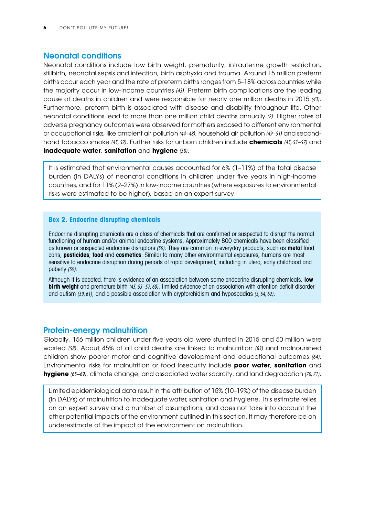## Neonatal conditions

Neonatal conditions include low birth weight, prematurity, intrauterine growth restriction, stillbirth, neonatal sepsis and infection, birth asphyxia and trauma. Around 15 million preterm births occur each year and the rate of preterm births ranges from 5–18% across countries while the majority occur in low-income countries *(43)*. Preterm birth complications are the leading cause of deaths in children and were responsible for nearly one million deaths in 2015 *(43)*. Furthermore, preterm birth is associated with disease and disability throughout life. Other neonatal conditions lead to more than one million child deaths annually *(2)*. Higher rates of adverse pregnancy outcomes were observed for mothers exposed to different environmental or occupational risks, like ambient air pollution *(44–48)*, household air pollution *(49–51)* and secondhand tobacco smoke *(45, 52)*. Further risks for unborn children include **chemicals** *(45, 53–57)* and **inadequate water**, **sanitation** and **hygiene** *(58)*.

It is estimated that environmental causes accounted for 6% (1–11%) of the total disease burden (in DALYs) of neonatal conditions in children under five years in high-income countries, and for 11% (2–27%) in low-income countries (where exposures to environmental risks were estimated to be higher), based on an expert survey.

#### **Box 2. Endocrine disrupting chemicals**

Endocrine disrupting chemicals are a class of chemicals that are confirmed or suspected to disrupt the normal functioning of human and/or animal endocrine systems. Approximately 800 chemicals have been classified as known or suspected endocrine disruptors *(59)*. They are common in everyday products, such as **metal** food cans, **pesticides**, **food** and **cosmetics**. Similar to many other environmental exposures, humans are most sensitive to endocrine disruption during periods of rapid development, including in utero, early childhood and puberty *(59)*.

Although it is debated, there is evidence of an association between some endocrine disrupting chemicals, **low birth weight** and premature birth *(45, 53–57, 60)*, limited evidence of an association with attention deficit disorder and autism *(59, 61)*, and a possible association with cryptorchidism and hypospadias *(3, 54, 62)*.

### Protein-energy malnutrition

Globally, 156 million children under five years old were stunted in 2015 and 50 million were wasted *(58)*. About 45% of all child deaths are linked to malnutrition *(63)* and malnourished children show poorer motor and cognitive development and educational outcomes *(64)*. Environmental risks for malnutrition or food insecurity include **poor water**, **sanitation** and **hygiene** *(65–69)*, climate change, and associated water scarcity, and land degradation *(70, 71)*.

Limited epidemiological data result in the attribution of 15% (10–19%) of the disease burden (in DALYs) of malnutrition to inadequate water, sanitation and hygiene. This estimate relies on an expert survey and a number of assumptions, and does not take into account the other potential impacts of the environment outlined in this section. It may therefore be an underestimate of the impact of the environment on malnutrition.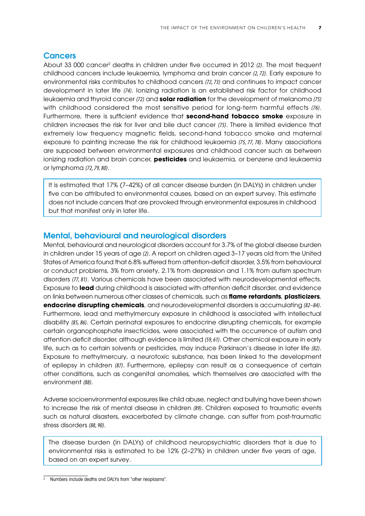## **Cancers**

About 33 000 cancer<sup>2</sup> deaths in children under five occurred in 2012 (2). The most frequent childhood cancers include leukaemia, lymphoma and brain cancer *(2, 72)*. Early exposure to environmental risks contributes to childhood cancers *(72, 73)* and continues to impact cancer development in later life *(74)*. Ionizing radiation is an established risk factor for childhood leukaemia and thyroid cancer *(72)* and **solar radiation** for the development of melanoma *(75)*  with childhood considered the most sensitive period for long-term harmful effects *(76)*. Furthermore, there is sufficient evidence that **second-hand tobacco smoke** exposure in children increases the risk for liver and bile duct cancer *(75)*. There is limited evidence that extremely low frequency magnetic fields, second-hand tobacco smoke and maternal exposure to painting increase the risk for childhood leukaemia *(75, 77, 78)*. Many associations are supposed between environmental exposures and childhood cancer such as between ionizing radiation and brain cancer, **pesticides** and leukaemia, or benzene and leukaemia or lymphoma *(72, 79, 80)*.

It is estimated that 17% (7–42%) of all cancer disease burden (in DALYs) in children under five can be attributed to environmental causes, based on an expert survey. This estimate does not include cancers that are provoked through environmental exposures in childhood but that manifest only in later life.

### Mental, behavioural and neurological disorders

Mental, behavioural and neurological disorders account for 3.7% of the global disease burden in children under 15 years of age *(2)*. A report on children aged 3–17 years old from the United States of America found that 6.8% suffered from attention-deficit disorder, 3.5% from behavioural or conduct problems, 3% from anxiety, 2.1% from depression and 1.1% from autism spectrum disorders *(77, 81)*. Various chemicals have been associated with neurodevelopmental effects. Exposure to **lead** during childhood is associated with attention deficit disorder, and evidence on links between numerous other classes of chemicals, such as **flame retardants**, **plasticizers**, **endocrine disrupting chemicals**, and neurodevelopmental disorders is accumulating *(82–84)*. Furthermore, lead and methylmercury exposure in childhood is associated with intellectual disability *(85, 86)*. Certain perinatal exposures to endocrine disrupting chemicals, for example certain organophosphate insecticides, were associated with the occurrence of autism and attention deficit disorder, although evidence is limited *(59, 61)*. Other chemical exposure in early life, such as to certain solvents or pesticides, may induce Parkinson's disease in later life *(82)*. Exposure to methylmercury, a neurotoxic substance, has been linked to the development of epilepsy in children *(87)*. Furthermore, epilepsy can result as a consequence of certain other conditions, such as congenital anomalies, which themselves are associated with the environment *(88)*.

Adverse socioenvironmental exposures like child abuse, neglect and bullying have been shown to increase the risk of mental disease in children *(89)*. Children exposed to traumatic events such as natural disasters, exacerbated by climate change, can suffer from post-traumatic stress disorders *(88, 90)*.

The disease burden (in DALYs) of childhood neuropsychiatric disorders that is due to environmental risks is estimated to be 12% (2–27%) in children under five years of age, based on an expert survey.

<sup>2</sup> Numbers include deaths and DALYs from "other neoplasms".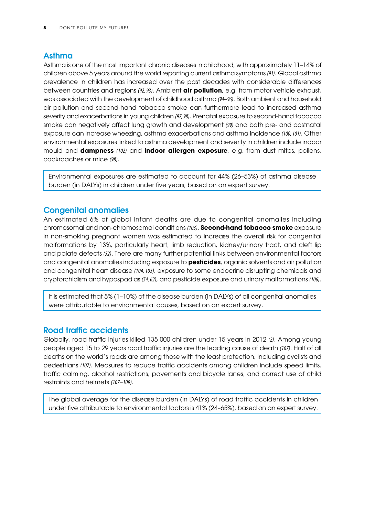## Asthma

Asthma is one of the most important chronic diseases in childhood, with approximately 11–14% of children above 5 years around the world reporting current asthma symptoms *(91)*. Global asthma prevalence in children has increased over the past decades with considerable differences between countries and regions *(92, 93)*. Ambient **air pollution**, e.g. from motor vehicle exhaust, was associated with the development of childhood asthma *(94–96)*. Both ambient and household air pollution and second-hand tobacco smoke can furthermore lead to increased asthma severity and exacerbations in young children *(97, 98)*. Prenatal exposure to second-hand tobacco smoke can negatively affect lung growth and development *(99)* and both pre- and postnatal exposure can increase wheezing, asthma exacerbations and asthma incidence *(100, 101)*. Other environmental exposures linked to asthma development and severity in children include indoor mould and **dampness** *(102)* and **indoor allergen exposure**, e.g. from dust mites, pollens, cockroaches or mice *(98)*.

Environmental exposures are estimated to account for 44% (26–53%) of asthma disease burden (in DALYs) in children under five years, based on an expert survey.

## Congenital anomalies

An estimated 6% of global infant deaths are due to congenital anomalies including chromosomal and non-chromosomal conditions *(103)*. **Second-hand tobacco smoke** exposure in non-smoking pregnant women was estimated to increase the overall risk for congenital malformations by 13%, particularly heart, limb reduction, kidney/urinary tract, and cleft lip and palate defects *(52)*. There are many further potential links between environmental factors and congenital anomalies including exposure to **pesticides**, organic solvents and air pollution and congenital heart disease *(104, 105)*, exposure to some endocrine disrupting chemicals and cryptorchidism and hypospadias *(54, 62)*, and pesticide exposure and urinary malformations *(106)*.

It is estimated that 5% (1–10%) of the disease burden (in DALYs) of all congenital anomalies were attributable to environmental causes, based on an expert survey.

## Road traffic accidents

Globally, road traffic injuries killed 135 000 children under 15 years in 2012 *(2)*. Among young people aged 15 to 29 years road traffic injuries are the leading cause of death *(107)*. Half of all deaths on the world's roads are among those with the least protection, including cyclists and pedestrians *(107)*. Measures to reduce traffic accidents among children include speed limits, traffic calming, alcohol restrictions, pavements and bicycle lanes, and correct use of child restraints and helmets *(107–109)*.

The global average for the disease burden (in DALYs) of road traffic accidents in children under five attributable to environmental factors is 41% (24–65%), based on an expert survey.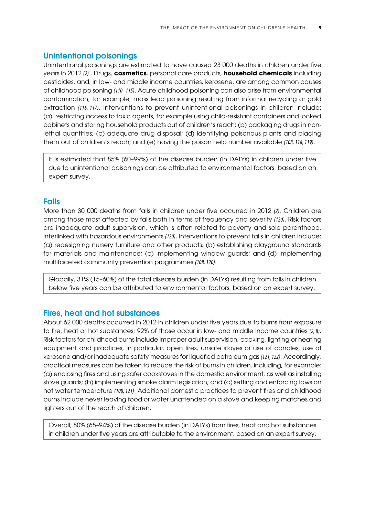### Unintentional poisonings

Unintentional poisonings are estimated to have caused 23 000 deaths in children under five years in 2012 *(2)* . Drugs, **cosmetics**, personal care products, **household chemicals** including pesticides, and, in low- and middle income countries, kerosene, are among common causes of childhood poisoning *(110–115)*. Acute childhood poisoning can also arise from environmental contamination, for example, mass lead poisoning resulting from informal recycling or gold extraction (116, 117). Interventions to prevent unintentional poisonings in children include: (a) restricting access to toxic agents, for example using child-resistant containers and locked cabinets and storing household products out of children's reach; (b) packaging drugs in nonlethal quantities; (c) adequate drug disposal; (d) identifying poisonous plants and placing them out of children's reach; and (e) having the poison help number available *(108, 118, 119)*.

It is estimated that 85% (60–99%) of the disease burden (in DALYs) in children under five due to unintentional poisonings can be attributed to environmental factors, based on an expert survey.

#### Falls

More than 30 000 deaths from falls in children under five occurred in 2012 *(2)*. Children are among those most affected by falls both in terms of frequency and severity *(120)*. Risk factors are inadequate adult supervision, which is often related to poverty and sole parenthood, interlinked with hazardous environments *(120)*. Interventions to prevent falls in children include: (a) redesigning nursery furniture and other products; (b) establishing playground standards for materials and maintenance; (c) implementing window guards; and (d) implementing multifaceted community prevention programmes *(108, 120)*.

Globally, 31% (15–60%) of the total disease burden (in DALYs) resulting from falls in children below five years can be attributed to environmental factors, based on an expert survey.

#### Fires, heat and hot substances

About 62 000 deaths occurred in 2012 in children under five years due to burns from exposure to fire, heat or hot substances; 92% of those occur in low- and middle income countries *(2, 8)*. Risk factors for childhood burns include improper adult supervision, cooking, lighting or heating equipment and practices, in particular, open fires, unsafe stoves or use of candles, use of kerosene and/or inadequate safety measures for liquefied petroleum gas *(121, 122)*. Accordingly, practical measures can be taken to reduce the risk of burns in children, including, for example: (a) enclosing fires and using safer cookstoves in the domestic environment, as well as installing stove guards; (b) implementing smoke alarm legislation; and (c) setting and enforcing laws on hot water temperature *(108, 121)*. Additional domestic practices to prevent fires and childhood burns include never leaving food or water unattended on a stove and keeping matches and lighters out of the reach of children.

Overall, 80% (65–94%) of the disease burden (in DALYs) from fires, heat and hot substances in children under five years are attributable to the environment, based on an expert survey.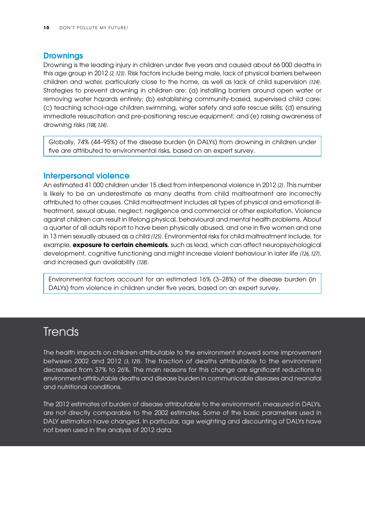## **Drownings**

Drowning is the leading injury in children under five years and caused about 66 000 deaths in this age group in 2012 *(2, 123)*. Risk factors include being male, lack of physical barriers between children and water, particularly close to the home, as well as lack of child supervision *(124)*. Strategies to prevent drowning in children are: (a) installing barriers around open water or removing water hazards entirely; (b) establishing community-based, supervised child care; (c) teaching school-age children swimming, water safety and safe rescue skills; (d) ensuring immediate resuscitation and pre-positioning rescue equipment; and (e) raising awareness of drowning risks *(108, 124)*.

Globally, 74% (44–95%) of the disease burden (in DALYs) from drowning in children under five are attributed to environmental risks, based on an expert survey.

### Interpersonal violence

An estimated 41 000 children under 15 died from interpersonal violence in 2012 *(2)*. This number is likely to be an underestimate as many deaths from child maltreatment are incorrectly attributed to other causes. Child maltreatment includes all types of physical and emotional illtreatment, sexual abuse, neglect, negligence and commercial or other exploitation. Violence against children can result in lifelong physical, behavioural and mental health problems. About a quarter of all adults report to have been physically abused, and one in five women and one in 13 men sexually abused as a child *(125)*. Environmental risks for child maltreatment include, for example, **exposure to certain chemicals**, such as lead, which can affect neuropsychological development, cognitive functioning and might increase violent behaviour in later life *(126, 127)*, and increased gun availability *(128)*.

Environmental factors account for an estimated 16% (3–28%) of the disease burden (in DALYs) from violence in children under five years, based on an expert survey.

## **Trends**

The health impacts on children attributable to the environment showed some improvement between 2002 and 2012 *(3, 129)*. The fraction of deaths attributable to the environment decreased from 37% to 26%. The main reasons for this change are significant reductions in environment-attributable deaths and disease burden in communicable diseases and neonatal and nutritional conditions.

The 2012 estimates of burden of disease attributable to the environment, measured in DALYs, are not directly comparable to the 2002 estimates. Some of the basic parameters used in DALY estimation have changed. In particular, age weighting and discounting of DALYs have not been used in the analysis of 2012 data.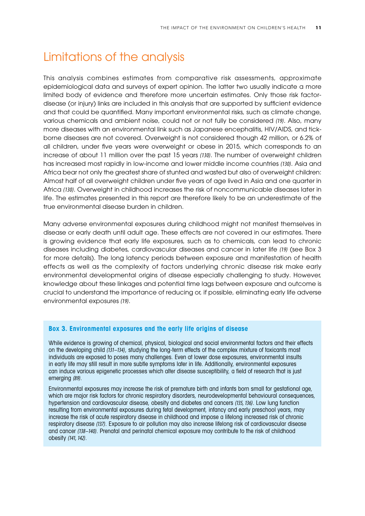## Limitations of the analysis

This analysis combines estimates from comparative risk assessments, approximate epidemiological data and surveys of expert opinion. The latter two usually indicate a more limited body of evidence and therefore more uncertain estimates. Only those risk factordisease (or injury) links are included in this analysis that are supported by sufficient evidence and that could be quantified. Many important environmental risks, such as climate change, various chemicals and ambient noise, could not or not fully be considered *(19)*. Also, many more diseases with an environmental link such as Japanese encephalitis, HIV/AIDS, and tickborne diseases are not covered. Overweight is not considered though 42 million, or 6.2% of all children, under five years were overweight or obese in 2015, which corresponds to an increase of about 11 million over the past 15 years *(130)*. The number of overweight children has increased most rapidly in low-income and lower middle income countries *(130)*. Asia and Africa bear not only the greatest share of stunted and wasted but also of overweight children: Almost half of all overweight children under five years of age lived in Asia and one quarter in Africa *(130)*. Overweight in childhood increases the risk of noncommunicable diseases later in life. The estimates presented in this report are therefore likely to be an underestimate of the true environmental disease burden in children.

Many adverse environmental exposures during childhood might not manifest themselves in disease or early death until adult age. These effects are not covered in our estimates. There is growing evidence that early life exposures, such as to chemicals, can lead to chronic diseases including diabetes, cardiovascular diseases and cancer in later life *(19)* (see Box 3 for more details). The long latency periods between exposure and manifestation of health effects as well as the complexity of factors underlying chronic disease risk make early environmental developmental origins of disease especially challenging to study. However, knowledge about these linkages and potential time lags between exposure and outcome is crucial to understand the importance of reducing or, if possible, eliminating early life adverse environmental exposures *(19)*.

#### **Box 3. Environmental exposures and the early life origins of disease**

While evidence is growing of chemical, physical, biological and social environmental factors and their effects on the developing child *(131–134)*, studying the long-term effects of the complex mixture of toxicants most individuals are exposed to poses many challenges. Even at lower dose exposures, environmental insults in early life may still result in more subtle symptoms later in life. Additionally, environmental exposures can induce various epigenetic processes which alter disease susceptibility, a field of research that is just emerging *(89)*.

Environmental exposures may increase the risk of premature birth and infants born small for gestational age, which are major risk factors for chronic respiratory disorders, neurodevelopmental behavioural consequences, hypertension and cardiovascular disease, obesity and diabetes and cancers *(135, 136)*. Low lung function resulting from environmental exposures during fetal development, infancy and early preschool years, may increase the risk of acute respiratory disease in childhood and impose a lifelong increased risk of chronic respiratory disease *(137)*. Exposure to air pollution may also increase lifelong risk of cardiovascular disease and cancer *(138–140)*. Prenatal and perinatal chemical exposure may contribute to the risk of childhood obesity *(141, 142)*.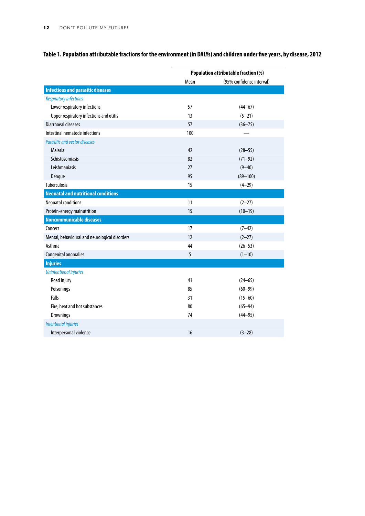|                                                |      | <b>Population attributable fraction (%)</b> |  |  |
|------------------------------------------------|------|---------------------------------------------|--|--|
|                                                | Mean | (95% confidence interval)                   |  |  |
| <b>Infectious and parasitic diseases</b>       |      |                                             |  |  |
| <b>Respiratory infections</b>                  |      |                                             |  |  |
| Lower respiratory infections                   | 57   | $(44 - 67)$                                 |  |  |
| Upper respiratory infections and otitis        | 13   | $(5-21)$                                    |  |  |
| Diarrhoeal diseases                            | 57   | $(36 - 75)$                                 |  |  |
| Intestinal nematode infections                 | 100  |                                             |  |  |
| <b>Parasitic and vector diseases</b>           |      |                                             |  |  |
| Malaria                                        | 42   | $(28 - 55)$                                 |  |  |
| Schistosomiasis                                | 82   | $(71 - 92)$                                 |  |  |
| Leishmaniasis                                  | 27   | $(9 - 40)$                                  |  |  |
| Dengue                                         | 95   | $(89 - 100)$                                |  |  |
| Tuberculosis                                   | 15   | $(4 - 29)$                                  |  |  |
| <b>Neonatal and nutritional conditions</b>     |      |                                             |  |  |
| <b>Neonatal conditions</b>                     | 11   | $(2-27)$                                    |  |  |
| Protein-energy malnutrition                    | 15   | $(10-19)$                                   |  |  |
| <b>Noncommunicable diseases</b>                |      |                                             |  |  |
| Cancers                                        | 17   | $(7-42)$                                    |  |  |
| Mental, behavioural and neurological disorders | 12   | $(2-27)$                                    |  |  |
| Asthma                                         | 44   | $(26 - 53)$                                 |  |  |
| Congenital anomalies                           | 5    | $(1 - 10)$                                  |  |  |
| <b>Injuries</b>                                |      |                                             |  |  |
| <b>Unintentional injuries</b>                  |      |                                             |  |  |
| Road injury                                    | 41   | $(24 - 65)$                                 |  |  |
| Poisonings                                     | 85   | $(60 - 99)$                                 |  |  |
| Falls                                          | 31   | $(15 - 60)$                                 |  |  |
| Fire, heat and hot substances                  | 80   | $(65 - 94)$                                 |  |  |
| Drownings                                      | 74   | $(44 - 95)$                                 |  |  |
| <b>Intentional injuries</b>                    |      |                                             |  |  |
| Interpersonal violence                         | 16   | $(3-28)$                                    |  |  |
|                                                |      |                                             |  |  |

## **Table 1. Population attributable fractions for the environment (in DALYs) and children under five years, by disease, 2012**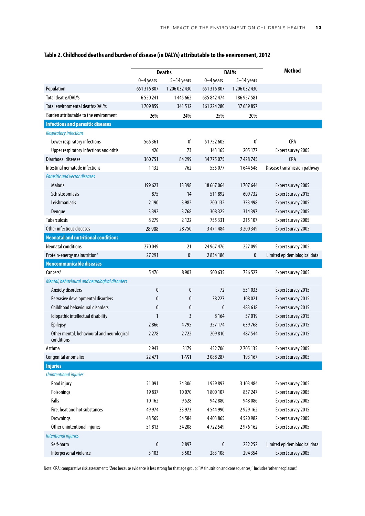|                                                          |             | <b>Deaths</b>  |               | <b>DALYs</b>   | <b>Method</b>                |
|----------------------------------------------------------|-------------|----------------|---------------|----------------|------------------------------|
|                                                          | 0-4 years   | 5-14 years     | $0-4$ years   | 5-14 years     |                              |
| Population                                               | 651 316 807 | 1206 032 430   | 651 316 807   | 1206 032 430   |                              |
| <b>Total deaths/DALYs</b>                                | 6 550 241   | 1445 662       | 635 842 474   | 186 957 581    |                              |
| <b>Total environmental deaths/DALYs</b>                  | 1709859     | 341512         | 161 224 280   | 37 689 857     |                              |
| Burden attributable to the environment                   | 26%         | 24%            | 25%           | 20%            |                              |
| <b>Infectious and parasitic diseases</b>                 |             |                |               |                |                              |
| <b>Respiratory infections</b>                            |             |                |               |                |                              |
| Lower respiratory infections                             | 566361      | 0 <sup>1</sup> | 51 752 605    | 0 <sup>1</sup> | <b>CRA</b>                   |
| Upper respiratory infections and otitis                  | 426         | 73             | 143 165       | 205 177        | Expert survey 2005           |
| Diarrhoeal diseases                                      | 360751      | 84 299         | 34 775 075    | 7 428 745      | <b>CRA</b>                   |
| Intestinal nematode infections                           | 1 1 3 2     | 762            | 555 077       | 1644548        | Disease transmission pathway |
| <b>Parasitic and vector diseases</b>                     |             |                |               |                |                              |
| Malaria                                                  | 199623      | 13 3 98        | 18 667 064    | 1707644        | Expert survey 2005           |
| Schistosomiasis                                          | 875         | 14             | 511892        | 609732         | Expert survey 2015           |
| Leishmaniasis                                            | 2 1 9 0     | 3 9 8 2        | 200 132       | 333 498        | Expert survey 2005           |
| Dengue                                                   | 3 3 9 2     | 3768           | 308 325       | 314 397        | Expert survey 2005           |
| <b>Tuberculosis</b>                                      | 8279        | 2 1 2 2        | 755 331       | 215 107        | Expert survey 2005           |
| Other infectious diseases                                | 28 908      | 28750          | 3 471 484     | 3 200 349      | Expert survey 2005           |
| <b>Neonatal and nutritional conditions</b>               |             |                |               |                |                              |
| <b>Neonatal conditions</b>                               | 270049      | 21             | 24 967 476    | 227099         | Expert survey 2005           |
| Protein-energy malnutrition <sup>2</sup>                 | 27 291      | 0 <sup>1</sup> | 2834186       | 0 <sup>1</sup> | Limited epidemiological data |
| <b>Noncommunicable diseases</b>                          |             |                |               |                |                              |
| Cancers <sup>3</sup>                                     | 5476        | 8903           | 500 635       | 736 527        | Expert survey 2005           |
| Mental, behavioural and neurological disorders           |             |                |               |                |                              |
| Anxiety disorders                                        | 0           | 0              | 72            | 551033         | Expert survey 2015           |
| Pervasive developmental disorders                        | 0           | 0              | 38 2 27       | 108021         | Expert survey 2015           |
| Childhood behavioural disorders                          | 0           | 0              | $\bf{0}$      | 483 618        | Expert survey 2015           |
| Idiopathic intellectual disability                       | 1           | 3              | 8 1 6 4       | 57019          | Expert survey 2015           |
| <b>Epilepsy</b>                                          | 2866        | 4795           | 357 174       | 639768         | Expert survey 2015           |
| Other mental, behavioural and neurological<br>conditions | 2 2 7 8     | 2722           | 209810        | 487 544        | Expert survey 2015           |
| Asthma                                                   | 2943        | 3179           | 452706        | 2705135        | Expert survey 2005           |
| Congenital anomalies                                     | 22 471      | 1651           | 2088287       | 193 167        | Expert survey 2005           |
| <b>Injuries</b>                                          |             |                |               |                |                              |
| <b>Unintentional injuries</b>                            |             |                |               |                |                              |
| Road injury                                              | 21 0 91     | 34 30 6        | 1929893       | 3 103 484      | Expert survey 2005           |
| Poisonings                                               | 19837       | 10070          | 1800107       | 837 247        | Expert survey 2005           |
| Falls                                                    | 10 162      | 9528           | 942 880       | 948 086        | Expert survey 2005           |
| Fire, heat and hot substances                            | 49 9 74     | 33 973         | 4544990       | 2929162        | Expert survey 2015           |
| Drownings                                                | 48 5 65     | 54 584         | 4 4 0 3 8 6 5 | 4520982        | Expert survey 2005           |
| Other unintentional injuries                             | 51813       | 34 208         | 4722549       | 2976162        | Expert survey 2005           |
| <b>Intentional injuries</b>                              |             |                |               |                |                              |
| Self-harm                                                | 0           | 2897           | 0             | 232 252        | Limited epidemiological data |
| Interpersonal violence                                   | 3 1 0 3     | 3 5 0 3        | 283 108       | 294 354        | Expert survey 2005           |

## **Table 2. Childhood deaths and burden of disease (in DALYs) attributable to the environment, 2012**

Note: CRA: comparative risk assessment; 'Zero because evidence is less strong for that age group; <sup>2</sup> Malnutrition and consequences; <sup>3</sup> Includes "other neoplasms".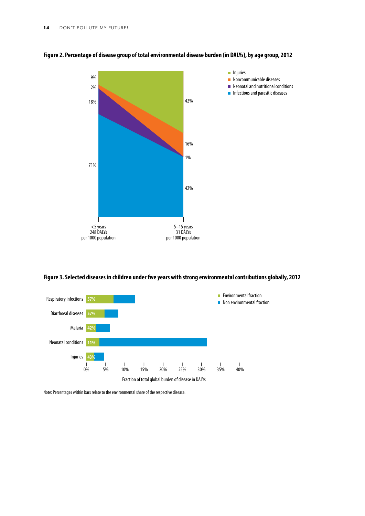

#### **Figure 2. Percentage of disease group of total environmental disease burden (in DALYs), by age group, 2012**

#### **Figure 3. Selected diseases in children under five years with strong environmental contributions globally, 2012**



Note: Percentages within bars relate to the environmental share of the respective disease.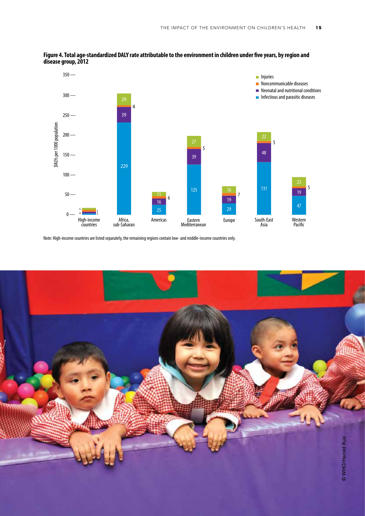

#### **Figure 4. Total age-standardized DALY rate attributable to the environment in children under five years, by region and disease group, 2012**

Note: High-income countries are listed separately, the remaining regions contain low- and middle-income countries only.

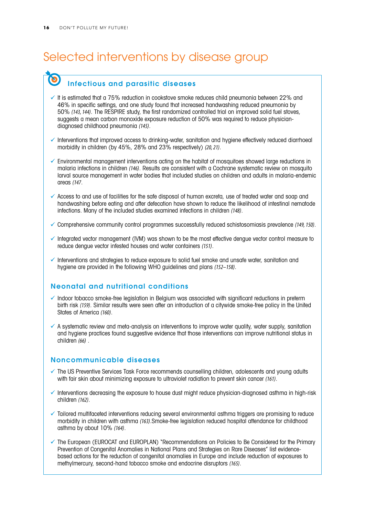## Selected interventions by disease group

## Infectious and parasitic diseases

- $\checkmark$  It is estimated that a 75% reduction in cookstove smoke reduces child pneumonia between 22% and 46% in specific settings, and one study found that increased handwashing reduced pneumonia by 50% *(143, 144)*. The RESPIRE study, the first randomized controlled trial on improved solid fuel stoves, suggests a mean carbon monoxide exposure reduction of 50% was required to reduce physiciandiagnosed childhood pneumonia *(145)*.
- $\checkmark$  Interventions that improved access to drinking-water, sanitation and hygiene effectively reduced diarrhoeal morbidity in children (by 45%, 28% and 23% respectively) *(20, 21)*.
- $\checkmark$  Environmental management interventions acting on the habitat of mosquitoes showed large reductions in malaria infections in children *(146)*. Results are consistent with a Cochrane systematic review on mosquito larval source management in water bodies that included studies on children and adults in malaria-endemic areas *(147*.
- $\checkmark$  Access to and use of facilities for the safe disposal of human excreta, use of treated water and soap and handwashing before eating and after defecation have shown to reduce the likelihood of intestinal nematode infections. Many of the included studies examined infections in children *(148)*.
- Comprehensive community control programmes successfully reduced schistosomiasis prevalence *(149, 150)*.
- $\checkmark$  Integrated vector management (IVM) was shown to be the most effective dengue vector control measure to reduce dengue vector infested houses and water containers *(151)*.
- $\checkmark$  Interventions and strategies to reduce exposure to solid fuel smoke and unsafe water, sanitation and hygiene are provided in the following WHO guidelines and plans *(152–158)*.

### Neonatal and nutritional conditions

- $\checkmark$  Indoor tobacco smoke-free legislation in Belgium was associated with significant reductions in preterm birth risk *(159)*. Similar results were seen after an introduction of a citywide smoke-free policy in the United States of America *(160)*.
- $\checkmark$  A systematic review and meta-analysis on interventions to improve water quality, water supply, sanitation and hygiene practices found suggestive evidence that those interventions can improve nutritional status in children *(66)* .

#### Noncommunicable diseases

- $\checkmark$  The US Preventive Services Task Force recommends counselling children, adolescents and young adults with fair skin about minimizing exposure to ultraviolet radiation to prevent skin cancer *(161)*.
- $\checkmark$  Interventions decreasing the exposure to house dust might reduce physician-diagnosed asthma in high-risk children *(162)*.
- $\checkmark$  Tailored multifaceted interventions reducing several environmental asthma triggers are promising to reduce morbidity in children with asthma *(163)*.Smoke-free legislation reduced hospital attendance for childhood asthma by about 10% *(164)*.
- $\checkmark$  The European (EUROCAT and EUROPLAN) "Recommendations on Policies to Be Considered for the Primary Prevention of Congenital Anomalies in National Plans and Strategies on Rare Diseases" list evidencebased actions for the reduction of congenital anomalies in Europe and include reduction of exposures to methylmercury, second-hand tobacco smoke and endocrine disruptors *(165)*.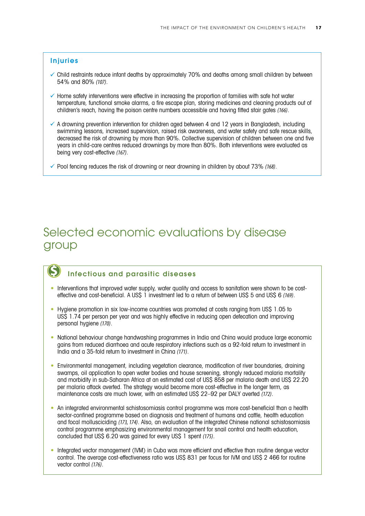#### Injuries

- $\checkmark$  Child restraints reduce infant deaths by approximately 70% and deaths among small children by between 54% and 80% *(107)*.
- $\checkmark$  Home safety interventions were effective in increasing the proportion of families with safe hot water temperature, functional smoke alarms, a fire escape plan, storing medicines and cleaning products out of children's reach, having the poison centre numbers accessible and having fitted stair gates *(166)*.
- $\checkmark$  A drowning prevention intervention for children aged between 4 and 12 years in Bangladesh, including swimming lessons, increased supervision, raised risk awareness, and water safety and safe rescue skills, decreased the risk of drowning by more than 90%. Collective supervision of children between one and five years in child-care centres reduced drownings by more than 80%. Both interventions were evaluated as being very cost-effective *(167)*.
- Pool fencing reduces the risk of drowning or near drowning in children by about 73% *(168)*.

## Selected economic evaluations by disease group

## Infectious and parasitic diseases

- Interventions that improved water supply, water quality and access to sanitation were shown to be costeffective and cost-beneficial. A US\$ 1 investment led to a return of between US\$ 5 and US\$ 6 *(169)*.
- Hygiene promotion in six low-income countries was promoted at costs ranging from US\$ 1.05 to US\$ 1.74 per person per year and was highly effective in reducing open defecation and improving personal hygiene *(170)*.
- National behaviour change handwashing programmes in India and China would produce large economic gains from reduced diarrhoea and acute respiratory infections such as a 92-fold return to investment in India and a 35-fold return to investment in China *(171)*.
- Environmental management, including vegetation clearance, modification of river boundaries, draining swamps, oil application to open water bodies and house screening, strongly reduced malaria mortality and morbidity in sub-Saharan Africa at an estimated cost of US\$ 858 per malaria death and US\$ 22.20 per malaria attack averted. The strategy would become more cost-effective in the longer term, as maintenance costs are much lower, with an estimated US\$ 22–92 per DALY averted *(172)*.
- An integrated environmental schistosomiasis control programme was more cost-beneficial than a health sector-confined programme based on diagnosis and treatment of humans and cattle, health education and focal mollusciciding *(173, 174)*. Also, an evaluation of the integrated Chinese national schistosomiasis control programme emphasizing environmental management for snail control and health education, concluded that US\$ 6.20 was gained for every US\$ 1 spent *(175)*.
- Integrated vector management (IVM) in Cuba was more efficient and effective than routine dengue vector control. The average cost-effectiveness ratio was US\$ 831 per focus for IVM and US\$ 2 466 for routine vector control *(176)*.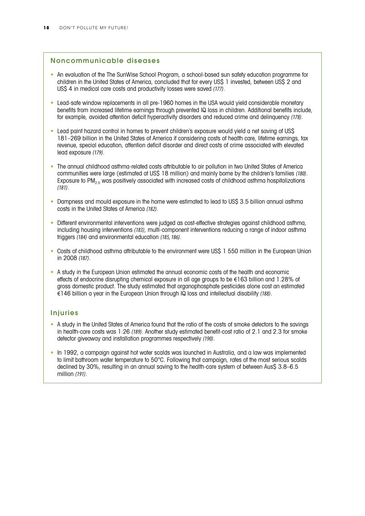#### Noncommunicable diseases

- An evaluation of the The SunWise School Program, a school-based sun safety education programme for children in the United States of America, concluded that for every US\$ 1 invested, between US\$ 2 and US\$ 4 in medical care costs and productivity losses were saved *(177)*.
- Lead-safe window replacements in all pre-1960 homes in the USA would yield considerable monetary benefits from increased lifetime earnings through prevented IQ loss in children. Additional benefits include, for example, avoided attention deficit hyperactivity disorders and reduced crime and delinquency *(178)*.
- Lead paint hazard control in homes to prevent children's exposure would vield a net saving of US\$ 181–269 billion in the United States of America if considering costs of health care, lifetime earnings, tax revenue, special education, attention deficit disorder and direct costs of crime associated with elevated lead exposure *(179)*.
- The annual childhood asthma-related costs attributable to air pollution in two United States of America communities were large (estimated at US\$ 18 million) and mainly borne by the children's families *(180)*. Exposure to PM<sub>2.5</sub> was positively associated with increased costs of childhood asthma hospitalizations *(181)*.
- Dampness and mould exposure in the home were estimated to lead to US\$ 3.5 billion annual asthma costs in the United States of America *(182)*.
- Different environmental interventions were judged as cost-effective strategies against childhood asthma, including housing interventions *(183)*, multi-component interventions reducing a range of indoor asthma triggers *(184)* and environmental education *(185, 186)*.
- Costs of childhood asthma attributable to the environment were US\$ 1 550 million in the European Union in 2008 *(187)*.
- A study in the European Union estimated the annual economic costs of the health and economic effects of endocrine disrupting chemical exposure in all age groups to be €163 billion and 1.28% of gross domestic product. The study estimated that organophosphate pesticides alone cost an estimated €146 billion a year in the European Union through IQ loss and intellectual disability *(188)*.

#### **Injuries**

- A study in the United States of America found that the ratio of the costs of smoke detectors to the savings in health-care costs was 1:26 *(189)*. Another study estimated benefit-cost ratio of 2.1 and 2.3 for smoke detector giveaway and installation programmes respectively *(190)*.
- In 1992, a campaign against hot water scalds was launched in Australia, and a law was implemented to limit bathroom water temperature to 50°C. Following that campaign, rates of the most serious scalds declined by 30%, resulting in an annual saving to the health-care system of between Aus\$ 3.8–6.5 million *(191)*.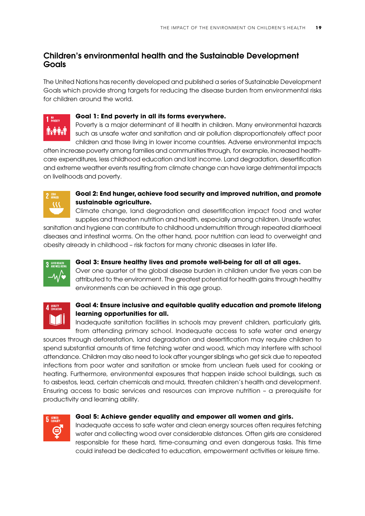## Children's environmental health and the Sustainable Development **Goals**

The United Nations has recently developed and published a series of Sustainable Development Goals which provide strong targets for reducing the disease burden from environmental risks for children around the world.

#### **Goal 1: End poverty in all its forms everywhere.**

Poverty is a major determinant of ill health in children. Many environmental hazards such as unsafe water and sanitation and air pollution disproportionately affect poor children and those living in lower income countries. Adverse environmental impacts

often increase poverty among families and communities through, for example, increased healthcare expenditures, less childhood education and lost income. Land degradation, desertification and extreme weather events resulting from climate change can have large detrimental impacts on livelihoods and poverty.



 $1<sup>10</sup>$  poverty

**AYAA** 

### **Goal 2: End hunger, achieve food security and improved nutrition, and promote sustainable agriculture.**

Climate change, land degradation and desertification impact food and water supplies and threaten nutrition and health, especially among children. Unsafe water,

sanitation and hygiene can contribute to childhood undernutrition through repeated diarrhoeal diseases and intestinal worms. On the other hand, poor nutrition can lead to overweight and obesity already in childhood – risk factors for many chronic diseases in later life.



#### **Goal 3: Ensure healthy lives and promote well-being for all at all ages.**

Over one quarter of the global disease burden in children under five years can be attributed to the environment. The greatest potential for health gains through healthy environments can be achieved in this age group.

| QUALITY<br>Education |  |  |  |  |
|----------------------|--|--|--|--|
|                      |  |  |  |  |

### **Goal 4: Ensure inclusive and equitable quality education and promote lifelong learning opportunities for all.**

Inadequate sanitation facilities in schools may prevent children, particularly girls, from attending primary school. Inadequate access to safe water and energy

sources through deforestation, land degradation and desertification may require children to spend substantial amounts of time fetching water and wood, which may interfere with school attendance. Children may also need to look after younger siblings who get sick due to repeated infections from poor water and sanitation or smoke from unclean fuels used for cooking or heating. Furthermore, environmental exposures that happen inside school buildings, such as to asbestos, lead, certain chemicals and mould, threaten children's health and development. Ensuring access to basic services and resources can improve nutrition – a prerequisite for productivity and learning ability.



#### **Goal 5: Achieve gender equality and empower all women and girls.**

Inadequate access to safe water and clean energy sources often requires fetching water and collecting wood over considerable distances. Often girls are considered responsible for these hard, time-consuming and even dangerous tasks. This time could instead be dedicated to education, empowerment activities or leisure time.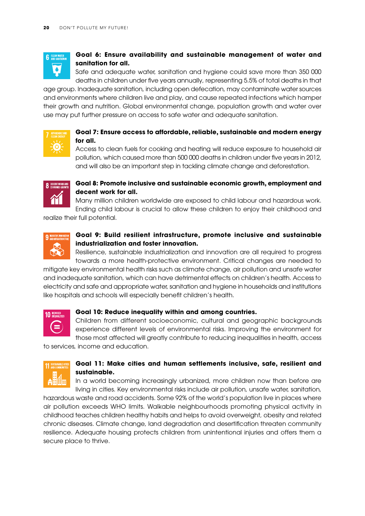

## **Goal 6: Ensure availability and sustainable management of water and sanitation for all.**

Safe and adequate water, sanitation and hygiene could save more than 350 000 deaths in children under five years annually, representing 5.5% of total deaths in that

age group. Inadequate sanitation, including open defecation, may contaminate water sources and environments where children live and play, and cause repeated infections which hamper their growth and nutrition. Global environmental change, population growth and water over use may put further pressure on access to safe water and adequate sanitation.



#### **Goal 7: Ensure access to affordable, reliable, sustainable and modern energy for all.**

Access to clean fuels for cooking and heating will reduce exposure to household air pollution, which caused more than 500 000 deaths in children under five years in 2012, and will also be an important step in tackling climate change and deforestation.



#### **Goal 8: Promote inclusive and sustainable economic growth, employment and decent work for all.**

Many million children worldwide are exposed to child labour and hazardous work. Ending child labour is crucial to allow these children to enjoy their childhood and

realize their full potential.



### **Goal 9: Build resilient infrastructure, promote inclusive and sustainable industrialization and foster innovation.**

Resilience, sustainable industrialization and innovation are all required to progress towards a more health-protective environment. Critical changes are needed to

mitigate key environmental health risks such as climate change, air pollution and unsafe water and inadequate sanitation, which can have detrimental effects on children's health. Access to electricity and safe and appropriate water, sanitation and hygiene in households and institutions like hospitals and schools will especially benefit children's health.



#### **Goal 10: Reduce inequality within and among countries.**

Children from different socioeconomic, cultural and geographic backgrounds experience different levels of environmental risks. Improving the environment for those most affected will greatly contribute to reducing inequalities in health, access

to services, income and education.



### **Goal 11: Make cities and human settlements inclusive, safe, resilient and sustainable.**

In a world becoming increasingly urbanized, more children now than before are living in cities. Key environmental risks include air pollution, unsafe water, sanitation,

hazardous waste and road accidents. Some 92% of the world's population live in places where air pollution exceeds WHO limits. Walkable neighbourhoods promoting physical activity in childhood teaches children healthy habits and helps to avoid overweight, obesity and related chronic diseases. Climate change, land degradation and desertification threaten community resilience. Adequate housing protects children from unintentional injuries and offers them a secure place to thrive.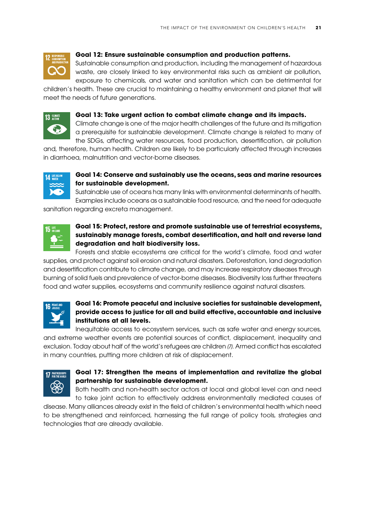

#### **Goal 12: Ensure sustainable consumption and production patterns.**

Sustainable consumption and production, including the management of hazardous waste, are closely linked to key environmental risks such as ambient air pollution, exposure to chemicals, and water and sanitation which can be detrimental for

children's health. These are crucial to maintaining a healthy environment and planet that will meet the needs of future generations.



#### **Goal 13: Take urgent action to combat climate change and its impacts.**

Climate change is one of the major health challenges of the future and its mitigation a prerequisite for sustainable development. Climate change is related to many of the SDGs, affecting water resources, food production, desertification, air pollution

and, therefore, human health. Children are likely to be particularly affected through increases in diarrhoea, malnutrition and vector-borne diseases.



#### **Goal 14: Conserve and sustainably use the oceans, seas and marine resources for sustainable development.**

Sustainable use of oceans has many links with environmental determinants of health. Examples include oceans as a sustainable food resource, and the need for adequate

sanitation regarding excreta management.



### **Goal 15: Protect, restore and promote sustainable use of terrestrial ecosystems, sustainably manage forests, combat desertification, and halt and reverse land degradation and halt biodiversity loss.**

Forests and stable ecosystems are critical for the world's climate, food and water supplies, and protect against soil erosion and natural disasters. Deforestation, land degradation and desertification contribute to climate change, and may increase respiratory diseases through burning of solid fuels and prevalence of vector-borne diseases. Biodiversity loss further threatens food and water supplies, ecosystems and community resilience against natural disasters.



#### **Goal 16: Promote peaceful and inclusive societies for sustainable development, provide access to justice for all and build effective, accountable and inclusive institutions at all levels.**

Inequitable access to ecosystem services, such as safe water and energy sources, and extreme weather events are potential sources of conflict, displacement, inequality and exclusion. Today about half of the world's refugees are children *(7).* Armed conflict has escalated in many countries, putting more children at risk of displacement.



### **Goal 17: Strengthen the means of implementation and revitalize the global partnership for sustainable development.**

Both health and non-health sector actors at local and global level can and need to take joint action to effectively address environmentally mediated causes of

disease. Many alliances already exist in the field of children's environmental health which need to be strengthened and reinforced, harnessing the full range of policy tools, strategies and technologies that are already available.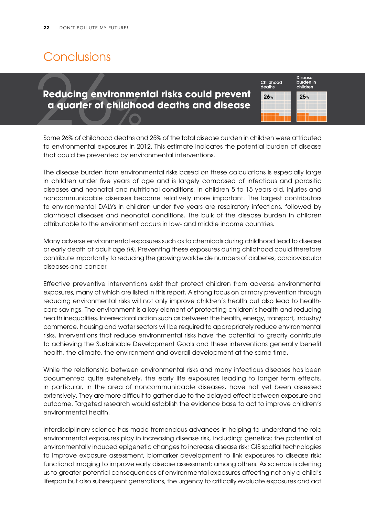## Conclusions

#### **Reducing environmental risks could prevent a quarter of childhood deaths and disease** Childhood deaths  $25%$ Disease burden in children

Some 26% of childhood deaths and 25% of the total disease burden in children were attributed to environmental exposures in 2012. This estimate indicates the potential burden of disease that could be prevented by environmental interventions.

The disease burden from environmental risks based on these calculations is especially large in children under five years of age and is largely composed of infectious and parasitic diseases and neonatal and nutritional conditions. In children 5 to 15 years old, injuries and noncommunicable diseases become relatively more important. The largest contributors to environmental DALYs in children under five years are respiratory infections, followed by diarrhoeal diseases and neonatal conditions. The bulk of the disease burden in children attributable to the environment occurs in low- and middle income countries.

Many adverse environmental exposures such as to chemicals during childhood lead to disease or early death at adult age *(19)*. Preventing these exposures during childhood could therefore contribute importantly to reducing the growing worldwide numbers of diabetes, cardiovascular diseases and cancer.

Effective preventive interventions exist that protect children from adverse environmental exposures, many of which are listed in this report. A strong focus on primary prevention through reducing environmental risks will not only improve children's health but also lead to healthcare savings. The environment is a key element of protecting children's health and reducing health inequalities. Intersectoral action such as between the health, energy, transport, industry/ commerce, housing and water sectors will be required to appropriately reduce environmental risks. Interventions that reduce environmental risks have the potential to greatly contribute to achieving the Sustainable Development Goals and these interventions generally benefit health, the climate, the environment and overall development at the same time.

While the relationship between environmental risks and many infectious diseases has been documented quite extensively, the early life exposures leading to longer term effects, in particular, in the area of noncommunicable diseases, have not yet been assessed extensively. They are more difficult to gather due to the delayed effect between exposure and outcome. Targeted research would establish the evidence base to act to improve children's environmental health.

Interdisciplinary science has made tremendous advances in helping to understand the role environmental exposures play in increasing disease risk, including: genetics; the potential of environmentally induced epigenetic changes to increase disease risk; GIS spatial technologies to improve exposure assessment; biomarker development to link exposures to disease risk; functional imaging to improve early disease assessment; among others. As science is alerting us to greater potential consequences of environmental exposures affecting not only a child's lifespan but also subsequent generations, the urgency to critically evaluate exposures and act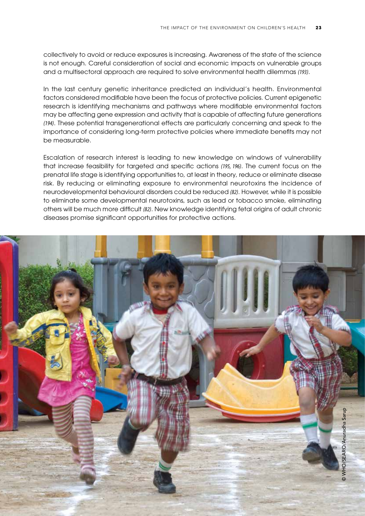collectively to avoid or reduce exposures is increasing. Awareness of the state of the science is not enough. Careful consideration of social and economic impacts on vulnerable groups and a multisectoral approach are required to solve environmental health dilemmas *(193)*.

In the last century genetic inheritance predicted an individual's health. Environmental factors considered modifiable have been the focus of protective policies. Current epigenetic research is identifying mechanisms and pathways where modifiable environmental factors may be affecting gene expression and activity that is capable of affecting future generations *(194)*. These potential transgenerational effects are particularly concerning and speak to the importance of considering long-term protective policies where immediate benefits may not be measurable.

Escalation of research interest is leading to new knowledge on windows of vulnerability that increase feasibility for targeted and specific actions *(195, 196)*. The current focus on the prenatal life stage is identifying opportunities to, at least in theory, reduce or eliminate disease risk. By reducing or eliminating exposure to environmental neurotoxins the incidence of neurodevelopmental behavioural disorders could be reduced *(82)*. However, while it is possible to eliminate some developmental neurotoxins, such as lead or tobacco smoke, eliminating others will be much more difficult *(82)*. New knowledge identifying fetal origins of adult chronic diseases promise significant opportunities for protective actions.

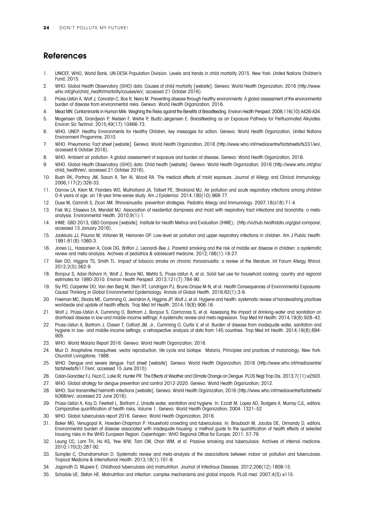## **References**

- 1. UNICEF, WHO, World Bank, UN-DESA Population Division. Levels and trends in child mortality 2015. New York: United Nations Children's Fund; 2015.
- 2. WHO. Global Health Observatory (GHO) data: Causes of child mortality [website]. Geneva: World Health Organization; 2016 (http://www. who.int/gho/child\_health/mortality/causes/en/, accessed 21 October 2016).
- 3. Prüss-Ustün A, Wolf J, Corvalán C, Bos R, Neira M. Preventing disease through healthy environments: A global assessment of the environmental burden of disease from environmental risks. Geneva: World Health Organization; 2016.
- 4. Mead MN. Contaminants in Human Milk: Weighing the Risks against the Benefits of Breastfeeding. Environ Health Perspect. 2008;116(10):A426-A34.
- 5. Mogensen UB, Grandjean P, Nielsen F, Weihe P, Budtz-Jørgensen E. Breastfeeding as an Exposure Pathway for Perfluorinated Alkylates. Environ Sci Technol. 2015;49(17):10466-73.
- 6. WHO, UNEP. Healthy Environments for Healthy Children, key messages for action. Geneva: World Health Organization, United Nations Environment Progamme; 2010.
- 7. WHO. Pneumonia: Fact sheet [website]. Geneva: World Health Organization; 2016 (http://www.who.int/mediacentre/factsheets/fs331/en/, accessed 6 October 2016).
- 8. WHO. Ambient air pollution: A global assessment of exposure and burden of disease. Geneva: World Health Organization; 2016.
- 9. WHO. Global Health Observatory (GHO) data: Child health [website]. Geneva: World Health Organization; 2016 (http://www.who.int/gho/ child\_health/en/, accessed 21 October 2016).
- 10. Bush RK, Portnoy JM, Saxon A, Terr AI, Wood RA. The medical effects of mold exposure. Journal of Allergy and Clinical Immunology. 2006;117(2):326-33.
- 11. Darrow LA, Klein M, Flanders WD, Mulholland JA, Tolbert PE, Strickland MJ. Air pollution and acute respiratory infections among children 0-4 years of age: an 18-year time-series study. Am J Epidemiol. 2014;180(10):968-77.
- 12. Duse M, Caminiti S, Zicari AM. Rhinosinusitis: prevention strategies. Pediatric Allergy and Immunology. 2007;18(s18):71-4.
- 13. Fisk WJ, Eliseeva EA, Mendell MJ. Association of residential dampness and mold with respiratory tract infections and bronchitis: a metaanalysis. Environmental Health. 2010;9(1):1.
- 14. IHME. GBD 2013, GBD Compare [website]. Institute for Health Metrics and Evaluation (IHME); (http://vizhub.healthdata.org/gbd-compare/, accessed 13 January 2016).
- 15. Jaakkola JJ, Paunio M, Virtanen M, Heinonen OP. Low-level air pollution and upper respiratory infections in children. Am J Public Health. 1991;81(8):1060-3.
- 16. Jones LL, Hassanien A, Cook DG, Britton J, Leonardi-Bee J. Parental smoking and the risk of middle ear disease in children: a systematic review and meta-analysis. Archives of pediatrics & adolescent medicine. 2012;166(1):18-27.
- 17. Reh DD, Higgins TS, Smith TL. Impact of tobacco smoke on chronic rhinosinusitis: a review of the literature. Int Forum Allergy Rhinol. 2012;2(5):362-9.
- 18. Bonjour S, Adair-Rohani H, Wolf J, Bruce NG, Mehta S, Pruss-Ustun A, et al. Solid fuel use for household cooking: country and regional estimates for 1980-2010. Environ Health Perspect. 2013;121(7):784-90.
- 19. Sly PD, Carpenter DO, Van den Berg M, Stein RT, Landrigan PJ, Brune-Drisse M-N, et al. Health Consequences of Environmental Exposures: Causal Thinking in Global Environmental Epidemiology. Annals of Global Health. 2016;82(1):3-9.
- 20. Freeman MC, Stocks ME, Cumming O, Jeandron A, Higgins JP, Wolf J, et al. Hygiene and health: systematic review of handwashing practices worldwide and update of health effects. Trop Med Int Health. 2014;19(8):906-16.
- 21. Wolf J, Prüss-Ustün A, Cumming O, Bartram J, Bonjour S, Cairncross S, et al. Assessing the impact of drinking-water and sanitation on diarrhoeal disease in low-and middle-income settings: A systematic review and meta-regression. Trop Med Int Health. 2014;19(8):928–42.
- 22. Pruss-Ustun A, Bartram J, Clasen T, Colford JM, Jr., Cumming O, Curtis V, et al. Burden of disease from inadequate water, sanitation and hygiene in low- and middle-income settings: a retrospective analysis of data from 145 countries. Trop Med Int Health. 2014;19(8):894- 905.
- 23. WHO. World Malaria Report 2016. Geneva: World Health Organization; 2016.
- 24. Muir D. Anopheline mosquitoes: vector reproduction, life cycle and biotope. Malaria, Principles and practices of malariology. New York: Churchill Livingstone; 1988.
- 25. WHO. Dengue and severe dengue: Fact sheet [website]. Geneva: World Health Organization; 2016 (http://www.who.int/mediacentre/ factsheets/fs117/en/, accessed 15 June 2015).
- 26. Colón-González FJ, Fezzi C, Lake IR, Hunter PR. The Effects of Weather and Climate Change on Dengue. PLOS Negl Trop Dis. 2013;7(11):e2503.
- 27. WHO. Global strategy for dengue prevention and control 2012-2020. Geneva: World Health Organization; 2012.
- 28. WHO. Soil-transmitted helminth infections [website]. Geneva: World Health Organization; 2016 (http://www.who.int/mediacentre/factsheets/ fs366/en/, accessed 22 June 2016).
- 29. Prüss-Ustün A, Kay D, Fewtrell L, Bartram J. Unsafe water, sanitation and hygiene. In: Ezzati M, Lopez AD, Rodgers A, Murray CJL, editors. Comparative quantification of health risks, Volume 1. Geneva: World Health Organization; 2004: 1321–52
- 30. WHO. Global tuberculosis report 2016. Geneva: World Health Organization; 2016.
- 31. Baker MG, Venugopal K, Howden-Chapman P. Household crowding and tuberculosis. In: Braubach M, Jacobs DE, Ormandy D, editors. Environmental burden of disease associated with inadequate housing: a method guide to the quantification of health effects of selected housing risks in the WHO European Region. Copenhagen: WHO Regional Office for Europe; 2011: 57-79.
- 32. Leung CC, Lam TH, Ho KS, Yew WW, Tam CM, Chan WM, et al. Passive smoking and tuberculosis. Archives of internal medicine. 2010;170(3):287-92.
- 33. Sumpter C, Chandramohan D. Systematic review and meta-analysis of the associations between indoor air pollution and tuberculosis. Tropical Medicine & International Health. 2013;18(1):101-8.
- 34. Jaganath D, Mupere E. Childhood tuberculosis and malnutrition. Journal of Infectious Diseases. 2012;206(12):1809-15.
- 35. Schaible UE, Stefan HE. Malnutrition and infection: complex mechanisms and global impacts. PLoS med. 2007;4(5):e115.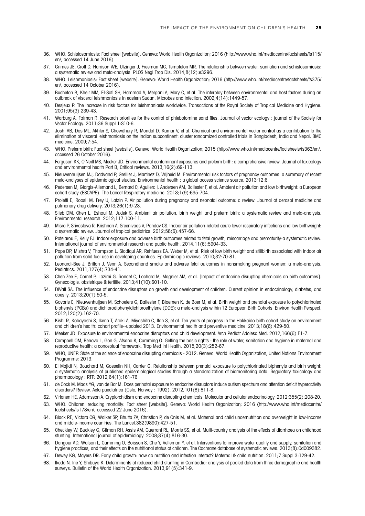- 36. WHO. Schistosomiasis: Fact sheet [website]. Geneva: World Health Organization; 2016 (http://www.who.int/mediacentre/factsheets/fs115/ en/, accessed 14 June 2016).
- 37. Grimes JE, Croll D, Harrison WE, Utzinger J, Freeman MC, Templeton MR. The relationship between water, sanitation and schistosomiasis: a systematic review and meta-analysis. PLOS Negl Trop Dis. 2014;8(12):e3296.
- 38. WHO. Leishmaniasis: Fact sheet [website]. Geneva: World Health Organization; 2016 (http://www.who.int/mediacentre/factsheets/fs375/ en/, accessed 14 October 2016).
- 39. Bucheton B, Kheir MM, El-Safi SH, Hammad A, Mergani A, Mary C, et al. The interplay between environmental and host factors during an outbreak of visceral leishmaniasis in eastern Sudan. Microbes and infection. 2002;4(14):1449-57.
- 40. Desjeux P. The increase in risk factors for leishmaniasis worldwide. Transactions of the Royal Society of Tropical Medicine and Hygiene. 2001;95(3):239-43.
- 41. Warburg A, Faiman R. Research priorities for the control of phlebotomine sand flies. Journal of vector ecology : journal of the Society for Vector Ecology. 2011;36 Suppl 1:S10-6.
- 42. Joshi AB, Das ML, Akhter S, Chowdhury R, Mondal D, Kumar V, et al. Chemical and environmental vector control as a contribution to the elimination of visceral leishmaniasis on the Indian subcontinent: cluster randomized controlled trials in Bangladesh, India and Nepal. BMC medicine. 2009;7:54.
- 43. WHO. Preterm birth: Fact sheet [website]. Geneva: World Health Organization; 2015 (http://www.who.int/mediacentre/factsheets/fs363/en/, accessed 26 October 2016).
- 44. Ferguson KK, O'Neill MS, Meeker JD. Environmental contaminant exposures and preterm birth: a comprehensive review. Journal of toxicology and environmental health Part B, Critical reviews. 2013;16(2):69-113.
- 45. Nieuwenhuijsen MJ, Dadvand P, Grellier J, Martinez D, Vrijheid M. Environmental risk factors of pregnancy outcomes: a summary of recent meta-analyses of epidemiological studies. Environmental health : a global access science source. 2013;12:6.
- 46. Pedersen M, Giorgis-Allemand L, Bernard C, Aguilera I, Andersen AM, Ballester F, et al. Ambient air pollution and low birthweight: a European cohort study (ESCAPE). The Lancet Respiratory medicine. 2013;1(9):695-704.
- 47. Proietti E, Roosli M, Frey U, Latzin P. Air pollution during pregnancy and neonatal outcome: a review. Journal of aerosol medicine and pulmonary drug delivery. 2013;26(1):9-23.
- 48. Stieb DM, Chen L, Eshoul M, Judek S. Ambient air pollution, birth weight and preterm birth: a systematic review and meta-analysis. Environmental research. 2012;117:100-11.
- 49. Misra P, Srivastava R, Krishnan A, Sreenivaas V, Pandav CS. Indoor air pollution-related acute lower respiratory infections and low birthweight: a systematic review. Journal of tropical pediatrics. 2012;58(6):457-66.
- 50. Patelarou E, Kelly FJ. Indoor exposure and adverse birth outcomes related to fetal growth, miscarriage and prematurity-a systematic review. International journal of environmental research and public health. 2014;11(6):5904-33.
- 51. Pope DP, Mishra V, Thompson L, Siddiqui AR, Rehfuess EA, Weber M, et al. Risk of low birth weight and stillbirth associated with indoor air pollution from solid fuel use in developing countries. Epidemiologic reviews. 2010;32:70-81.
- 52. Leonardi-Bee J, Britton J, Venn A. Secondhand smoke and adverse fetal outcomes in nonsmoking pregnant women: a meta-analysis. Pediatrics. 2011;127(4):734-41.
- 53. Chen Zee E, Cornet P, Lazimi G, Rondet C, Lochard M, Magnier AM, et al. [Impact of endocrine disrupting chemicals on birth outcomes]. Gynecologie, obstetrique & fertilite. 2013;41(10):601-10.
- 54. DiVall SA. The influence of endocrine disruptors on growth and development of children. Current opinion in endocrinology, diabetes, and obesity. 2013;20(1):50-5.
- 55. Govarts E, Nieuwenhuijsen M, Schoeters G, Ballester F, Bloemen K, de Boer M, et al. Birth weight and prenatal exposure to polychlorinated biphenyls (PCBs) and dichlorodiphenyldichloroethylene (DDE): a meta-analysis within 12 European Birth Cohorts. Environ Health Perspect. 2012;120(2):162-70.
- 56. Kishi R, Kobayashi S, Ikeno T, Araki A, Miyashita C, Itoh S, et al. Ten years of progress in the Hokkaido birth cohort study on environment and children's health: cohort profile--updated 2013. Environmental health and preventive medicine. 2013;18(6):429-50.
- 57. Meeker JD. Exposure to environmental endocrine disruptors and child development. Arch Pediatr Adolesc Med. 2012;166(6):E1-7.
- 58. Campbell OM, Benova L, Gon G, Afsana K, Cumming O. Getting the basic rights the role of water, sanitation and hygiene in maternal and reproductive health: a conceptual framework. Trop Med Int Health. 2015;20(3):252-67.
- 59. WHO, UNEP. State of the science of endocrine disrupting chemicals 2012. Geneva: World Health Organization, United Nations Environment Programme; 2013.
- 60. El Majidi N, Bouchard M, Gosselin NH, Carrier G. Relationship between prenatal exposure to polychlorinated biphenyls and birth weight: a systematic analysis of published epidemiological studies through a standardization of biomonitoring data. Regulatory toxicology and pharmacology : RTP. 2012;64(1):161-76.
- 61. de Cock M, Maas YG, van de Bor M. Does perinatal exposure to endocrine disruptors induce autism spectrum and attention deficit hyperactivity disorders? Review. Acta paediatrica (Oslo, Norway : 1992). 2012;101(8):811-8.
- 62. Virtanen HE, Adamsson A. Cryptorchidism and endocrine disrupting chemicals. Molecular and cellular endocrinology. 2012;355(2):208-20.
- 63. WHO. Children: reducing mortality: Fact sheet [website]. Geneva: World Health Organization; 2016 (http://www.who.int/mediacentre/ factsheets/fs178/en/, accessed 22 June 2016).
- 64. Black RE, Victora CG, Walker SP, Bhutta ZA, Christian P, de Onis M, et al. Maternal and child undernutrition and overweight in low-income and middle-income countries. The Lancet.382(9890):427-51.
- 65. Checkley W, Buckley G, Gilman RH, Assis AM, Guerrant RL, Morris SS, et al. Multi-country analysis of the effects of diarrhoea on childhood stunting. International journal of epidemiology. 2008;37(4):816-30.
- 66. Dangour AD, Watson L, Cumming O, Boisson S, Che Y, Velleman Y, et al. Interventions to improve water quality and supply, sanitation and hygiene practices, and their effects on the nutritional status of children. The Cochrane database of systematic reviews. 2013(8):Cd009382.
- 67. Dewey KG, Mayers DR. Early child growth: how do nutrition and infection interact? Maternal & child nutrition. 2011;7 Suppl 3:129-42.
- 68. Ikeda N, Irie Y, Shibuya K. Determinants of reduced child stunting in Cambodia: analysis of pooled data from three demographic and health surveys. Bulletin of the World Health Organization. 2013;91(5):341-9.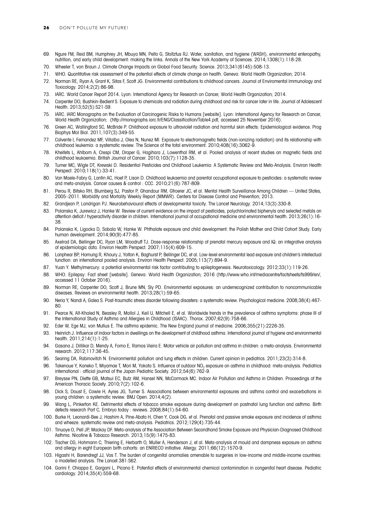#### **26** DON'T POLLUTE MY FUTURE!

- 69. Ngure FM, Reid BM, Humphrey JH, Mbuya MN, Pelto G, Stoltzfus RJ. Water, sanitation, and hygiene (WASH), environmental enteropathy, nutrition, and early child development: making the links. Annals of the New York Academy of Sciences. 2014;1308(1):118-28.
- 70. Wheeler T, von Braun J. Climate Change Impacts on Global Food Security. Science. 2013;341(6145):508-13.
- 71. WHO. Quantitative risk assessment of the potential effects of climate change on health. Geneva: World Health Organization; 2014.
- 72. Norman RE, Ryan A, Grant K, Sitas F, Scott JG. Environmental contributions to childhood cancers. Journal of Enviromental Immunology and Toxicology. 2014;2(2):86-98.
- 73. IARC. World Cancer Report 2014. Lyon: International Agency for Research on Cancer, World Health Organization; 2014.
- 74. Carpenter DO, Bushkin-Bedient S. Exposure to chemicals and radiation during childhood and risk for cancer later in life. Journal of Adolescent Health. 2013;52(5):S21-S9.
- 75. IARC. IARC Monographs on the Evaluation of Carcinogenic Risks to Humans [website]. Lyon: International Agency for Research on Cancer, World Health Organization; (http://monographs.iarc.fr/ENG/Classification/Table4.pdf, accessed 25 November 2016).
- 76. Green AC, Wallingford SC, McBride P. Childhood exposure to ultraviolet radiation and harmful skin effects: Epidemiological evidence. Prog Biophys Mol Biol. 2011;107(3):349-55.
- 77. Calvente I, Fernandez MF, Villalba J, Olea N, Nunez MI. Exposure to electromagnetic fields (non-ionizing radiation) and its relationship with childhood leukemia: a systematic review. The Science of the total environment. 2010;408(16):3062-9.
- 78. Kheifets L, Ahlbom A, Crespi CM, Draper G, Hagihara J, Lowenthal RM, et al. Pooled analysis of recent studies on magnetic fields and childhood leukaemia. British Journal of Cancer. 2010;103(7):1128-35.
- 79. Turner MC, Wigle DT, Krewski D. Residential Pesticides and Childhood Leukemia: A Systematic Review and Meta-Analysis. Environ Health Perspect. 2010;118(1):33-41.
- 80. Van Maele-Fabry G, Lantin AC, Hoet P, Lison D. Childhood leukaemia and parental occupational exposure to pesticides: a systematic review and meta-analysis. Cancer causes & control : CCC. 2010;21(6):787-809.
- 81. Perou R, Bitsko RH, Blumberg SJ, Pastor P, Ghandour RM, Gfroerer JC, et al. Mental Health Surveillance Among Children -- United States, 2005–2011. Morbidity and Mortality Weekly Report (MMWR). Centers for Disease Control and Prevention; 2013.
- 82. Grandjean P, Landrigan PJ. Neurobehavioural effects of developmental toxicity. The Lancet Neurology. 2014;13(3):330-8.
- 83. Polanska K, Jurewicz J, Hanke W. Review of current evidence on the impact of pesticides, polychlorinated biphenyls and selected metals on attention deficit / hyperactivity disorder in children. International journal of occupational medicine and environmental health. 2013;26(1):16- 38.
- 84. Polanska K, Ligocka D, Sobala W, Hanke W. Phthalate exposure and child development: the Polish Mother and Child Cohort Study. Early human development. 2014;90(9):477-85.
- 85. Axelrad DA, Bellinger DC, Ryan LM, Woodruff TJ. Dose-response relationship of prenatal mercury exposure and IQ: an integrative analysis of epidemiologic data. Environ Health Perspect. 2007;115(4):609-15.
- 86. Lanphear BP, Hornung R, Khoury J, Yolton K, Baghurst P, Bellinger DC, et al. Low-level environmental lead exposure and children's intellectual function: an international pooled analysis. Environ Health Perspect. 2005;113(7):894-9.
- 87. Yuan Y. Methylmercury: a potential environmental risk factor contributing to epileptogenesis. Neurotoxicology. 2012;33(1):119-26.
- 88. WHO. Epilepsy: Fact sheet [website]. Geneva: World Health Organization; 2016 (http://www.who.int/mediacentre/factsheets/fs999/en/, accessed 11 October 2016).
- 89. Norman RE, Carpenter DO, Scott J, Brune MN, Sly PD. Environmental exposures: an underrecognized contribution to noncommunicable diseases. Reviews on environmental health. 2013;28(1):59-65.
- 90. Neria Y, Nandi A, Galea S. Post-traumatic stress disorder following disasters: a systematic review. Psychological medicine. 2008;38(4):467- 80.
- 91. Pearce N, Aït-Khaled N, Beasley R, Mallol J, Keil U, Mitchell E, et al. Worldwide trends in the prevalence of asthma symptoms: phase III of the International Study of Asthma and Allergies in Childhood (ISAAC). Thorax. 2007;62(9):758-66.
- 92. Eder W, Ege MJ, von Mutius E. The asthma epidemic. The New England journal of medicine. 2006;355(21):2226-35.
- 93. Heinrich J. Influence of indoor factors in dwellings on the development of childhood asthma. International journal of hygiene and environmental health. 2011;214(1):1-25.
- 94. Gasana J, Dillikar D, Mendy A, Forno E, Ramos Vieira E. Motor vehicle air pollution and asthma in children: a meta-analysis. Environmental research. 2012;117:36-45.
- 95. Searing DA, Rabinovitch N. Environmental pollution and lung effects in children. Current opinion in pediatrics. 2011;23(3):314-8.
- 96. Takenoue Y, Kaneko T, Miyamae T, Mori M, Yokota S. Influence of outdoor NO<sub>2</sub> exposure on asthma in childhood: meta-analysis. Pediatrics international : official journal of the Japan Pediatric Society. 2012;54(6):762-9.
- 97. Breysse PN, Diette GB, Matsui EC, Butz AM, Hansel NN, McCormack MC. Indoor Air Pollution and Asthma in Children. Proceedings of the American Thoracic Society. 2010;7(2):102-6.
- 98. Dick S, Doust E, Cowie H, Ayres JG, Turner S. Associations between environmental exposures and asthma control and exacerbations in young children: a systematic review. BMJ Open. 2014;4(2).
- 99. Wang L, Pinkerton KE. Detrimental effects of tobacco smoke exposure during development on postnatal lung function and asthma. Birth defects research Part C, Embryo today : reviews. 2008;84(1):54-60.
- 100. Burke H, Leonardi-Bee J, Hashim A, Pine-Abata H, Chen Y, Cook DG, et al. Prenatal and passive smoke exposure and incidence of asthma and wheeze: systematic review and meta-analysis. Pediatrics. 2012;129(4):735-44.
- 101. Tinuoye O, Pell JP, Mackay DF. Meta-analysis of the Association Between Secondhand Smoke Exposure and Physician-Diagnosed Childhood Asthma. Nicotine & Tobacco Research. 2013;15(9):1475-83.
- 102. Tischer CG, Hohmann C, Thiering E, Herbarth O, Muller A, Henderson J, et al. Meta-analysis of mould and dampness exposure on asthma and allergy in eight European birth cohorts: an ENRIECO initiative. Allergy. 2011;66(12):1570-9.
- 103. Higashi H, Barendregt JJ, Vos T. The burden of congenital anomalies amenable to surgeries in low-income and middle-income countries: a modelled analysis. The Lancet.381:S62.
- 104. Gorini F, Chiappa E, Gargani L, Picano E. Potential effects of environmental chemical contamination in congenital heart disease. Pediatric cardiology. 2014;35(4):559-68.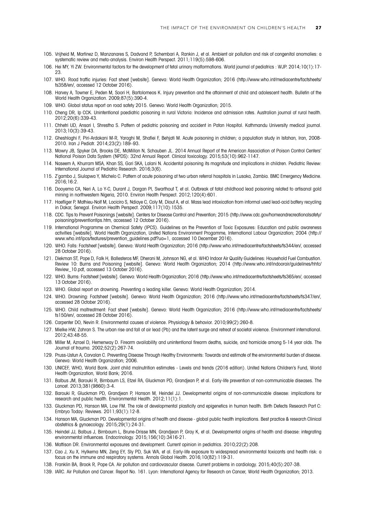- 105. Vrijheid M, Martinez D, Manzanares S, Dadvand P, Schembari A, Rankin J, et al. Ambient air pollution and risk of congenital anomalies: a systematic review and meta-analysis. Environ Health Perspect. 2011;119(5):598-606.
- 106. Hei MY, Yi ZW. Environmental factors for the development of fetal urinary malformations. World journal of pediatrics : WJP. 2014;10(1):17- 23.
- 107. WHO. Road traffic injuries: Fact sheet [website]. Geneva: World Health Organization; 2016 (http://www.who.int/mediacentre/factsheets/ fs358/en/, accessed 12 October 2016).
- 108. Harvey A, Towner E, Peden M, Soori H, Bartolomeos K. Injury prevention and the attainment of child and adolescent health. Bulletin of the World Health Organization. 2009;87(5):390-4.
- 109. WHO. Global status report on road safety 2015. Geneva: World Health Organization; 2015.
- 110. Cheng DR, Ip CCK. Unintentional paediatric poisoning in rural Victoria: Incidence and admission rates. Australian journal of rural health. 2012;20(6):339-43.
- 111. Chhetri UD, Ansari I, Shrestha S. Pattern of pediatric poisoning and accident in Patan Hospital. Kathmandu University medical journal. 2013;10(3):39-43.
- 112. Gheshlaghi F, Piri-Ardakani M-R, Yaraghi M, Shafiei F, Behjati M. Acute poisoning in children; a population study in Isfahan, Iran, 2008- 2010. Iran J Pediatr. 2014;23(2):189–93.
- 113. Mowry JB, Spyker DA, Brooks DE, McMillan N, Schauben JL. 2014 Annual Report of the American Association of Poison Control Centers' National Poison Data System (NPDS): 32nd Annual Report. Clinical toxicology. 2015;53(10):962-1147.
- 114. Naseem A, Khurram MSA, Khan SS, Gari SKA, Lalani N. Accidental poisoning its magnitude and implications in children. Pediatric Review: International Journal of Pediatric Research. 2016;3(6).
- 115. Z'gambo J, Siulapwa Y, Michelo C. Pattern of acute poisoning at two urban referral hospitals in Lusaka, Zambia. BMC Emergency Medicine. 2016;16:2.
- 116. Dooyema CA, Neri A, Lo Y-C, Durant J, Dargan PI, Swarthout T, et al. Outbreak of fatal childhood lead poisoning related to artisanal gold mining in northwestern Nigeria, 2010. Environ Health Perspect. 2012;120(4):601.
- 117. Haefliger P, Mathieu-Nolf M, Lociciro S, Ndiaye C, Coly M, Diouf A, et al. Mass lead intoxication from informal used lead-acid battery recycling in Dakar, Senegal. Environ Health Perspect. 2009;117(10):1535.
- 118. CDC. Tips to Prevent Poisonings [website]. Centers for Disease Control and Prevention; 2015 (http://www.cdc.gov/homeandrecreationalsafety/ poisoning/preventiontips.htm, accessed 12 October 2016).
- 119. International Programme on Chemical Safety (IPCS). Guidelines on the Prevention of Toxic Exposures: Education and public awareness activities [website]. World Health Organization, United Nations Environment Progamme, International Labour Organization; 2004 (http:// www.who.int/ipcs/features/prevention\_guidelines.pdf?ua=1, accessed 10 December 2016).
- 120. WHO. Falls: Factsheet [website]. Geneva: World Health Organization; 2016 (http://www.who.int/mediacentre/factsheets/fs344/en/, accessed 28 October 2016).
- 121. Diekman ST, Pope D, Falk H, Ballesteros MF, Dherani M, Johnson NG, et al. WHO Indoor Air Quality Guidelines: Household Fuel Combustion. Review 10: Burns and Poisoning [website]. Geneva: World Health Organization; 2014 (http://www.who.int/indoorair/guidelines/hhfc/ Review\_10.pdf, accessed 13 October 2016).
- 122. WHO. Burns: Factsheet [website]. Geneva: World Health Organization; 2016 (http://www.who.int/mediacentre/factsheets/fs365/en/, accessed 13 October 2016).
- 123. WHO. Global report on drowning. Preventing a leading killer. Geneva: World Health Organization; 2014.
- 124. WHO. Drowning: Factsheet [website]. Geneva: World Health Organization; 2016 (http://www.who.int/mediacentre/factsheets/fs347/en/, accessed 28 October 2016).
- 125. WHO. Child maltreatment: Fact sheet [website]. Geneva: World Health Organization; 2016 (http://www.who.int/mediacentre/factsheets/ fs150/en/, accessed 28 October 2016).
- 126. Carpenter DO, Nevin R. Environmental causes of violence. Physiology & behavior. 2010;99(2):260-8.
- 127. Mielke HW, Zahran S. The urban rise and fall of air lead (Pb) and the latent surge and retreat of societal violence. Environment international. 2012;43:48-55.
- 128. Miller M, Azrael D, Hemenway D. Firearm availability and unintentional firearm deaths, suicide, and homicide among 5-14 year olds. The Journal of trauma. 2002;52(2):267-74.
- 129. Pruss-Ustun A, Corvalan C. Preventing Disease Through Healthy Environments: Towards and estimate of the environmental burden of disease. Geneva: World Health Organization; 2006.
- 130. UNICEF, WHO, World Bank. Joint child malnutrition estimates Levels and trends (2016 edition). United Nations Children's Fund, World Health Organization, World Bank; 2016.
- 131. Balbus JM, Barouki R, Birnbaum LS, Etzel RA, Gluckman PD, Grandjean P, et al. Early-life prevention of non-communicable diseases. The Lancet. 2013;381(9860):3-4.
- 132. Barouki R, Gluckman PD, Grandjean P, Hanson M, Heindel JJ. Developmental origins of non-communicable disease: implications for research and public health. Environmental Health. 2012;11(1):1.
- 133. Gluckman PD, Hanson MA, Low FM. The role of developmental plasticity and epigenetics in human health. Birth Defects Research Part C: Embryo Today: Reviews. 2011;93(1):12-8.
- 134. Hanson MA, Gluckman PD. Developmental origins of health and disease global public health implications. Best practice & research Clinical obstetrics & gynaecology. 2015;29(1):24-31.
- 135. Heindel JJ, Balbus J, Birnbaum L, Brune-Drisse MN, Grandjean P, Gray K, et al. Developmental origins of health and disease: integrating environmental influences. Endocrinology. 2015;156(10):3416-21.
- 136. Mattison DR. Environmental exposures and development. Current opinion in pediatrics. 2010;22(2):208.
- 137. Cao J, Xu X, Hylkema MN, Zeng EY, Sly PD, Suk WA, et al. Early-life exposure to widespread environmental toxicants and health risk: a focus on the immune and respiratory systems. Annals Global Health. 2016;10(82):119-31.
- 138. Franklin BA, Brook R, Pope CA. Air pollution and cardiovascular disease. Current problems in cardiology. 2015;40(5):207-38.
- 139. IARC. Air Pollution and Cancer. Report No. 161. Lyon: International Agency for Research on Cancer, World Health Organization; 2013.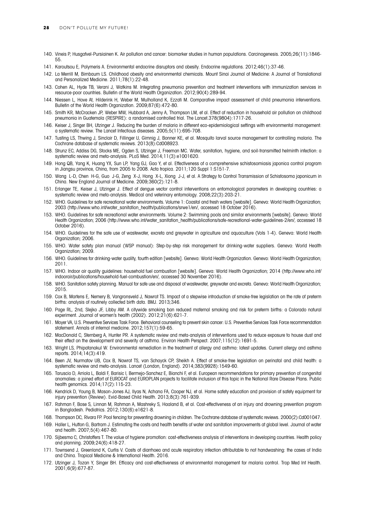- 140. Vineis P, Husgafvel-Pursiainen K. Air pollution and cancer: biomarker studies in human populations. Carcinogenesis. 2005;26(11):1846- 55.
- 141. Karoutsou E, Polymeris A. Environmental endocrine disruptors and obesity. Endocrine regulations. 2012;46(1):37-46.
- 142. La Merrill M, Birnbaum LS. Childhood obesity and environmental chemicals. Mount Sinai Journal of Medicine: A Journal of Translational and Personalized Medicine. 2011;78(1):22-48.
- 143. Cohen AL, Hyde TB, Verani J, Watkins M. Integrating pneumonia prevention and treatment interventions with immunization services in resource-poor countries. Bulletin of the World Health Organization. 2012;90(4):289-94.
- 144. Niessen L, Hove At, Hilderink H, Weber M, Mulholland K, Ezzati M. Comparative impact assessment of child pneumonia interventions. Bulletin of the World Health Organization. 2009;87(6):472-80.
- 145. Smith KR, McCracken JP, Weber MW, Hubbard A, Jenny A, Thompson LM, et al. Effect of reduction in household air pollution on childhood pneumonia in Guatemala (RESPIRE): a randomised controlled trial. The Lancet.378(9804):1717-26.
- 146. Keiser J, Singer BH, Utzinger J. Reducing the burden of malaria in different eco-epidemiological settings with environmental management: a systematic review. The Lancet Infectious diseases. 2005;5(11):695-708.
- 147. Tusting LS, Thwing J, Sinclair D, Fillinger U, Gimnig J, Bonner KE, et al. Mosquito larval source management for controlling malaria. The Cochrane database of systematic reviews. 2013(8):Cd008923.
- 148. Strunz EC, Addiss DG, Stocks ME, Ogden S, Utzinger J, Freeman MC. Water, sanitation, hygiene, and soil-transmitted helminth infection: a systematic review and meta-analysis. PLoS Med. 2014;11(3):e1001620.
- 149. Hong QB, Yang K, Huang YX, Sun LP, Yang GJ, Gao Y, et al. Effectiveness of a comprehensive schistosomiasis japonica control program in Jiangsu province, China, from 2005 to 2008. Acta tropica. 2011;120 Suppl 1:S151-7.
- 150. Wang L-D, Chen H-G, Guo J-G, Zeng X-J, Hong X-L, Xiong J-J, et al. A Strategy to Control Transmission of Schistosoma japonicum in China. New England Journal of Medicine. 2009;360(2):121-8.
- 151. Erlanger TE, Keiser J, Utzinger J. Effect of dengue vector control interventions on entomological parameters in developing countries: a systematic review and meta-analysis. Medical and veterinary entomology. 2008;22(3):203-21.
- 152. WHO. Guidelines for safe recreational water environments. Volume 1: Coastal and fresh waters [website]. Geneva: World Health Organization; 2003 (http://www.who.int/water\_sanitation\_health/publications/srwe1/en/, accessed 18 October 2016).
- 153. WHO. Guidelines for safe recreational water environments. Volume 2: Swimming pools and similar environments [website]. Geneva: World Health Organization; 2006 (http://www.who.int/water\_sanitation\_health/publications/safe-recreational-water-guidelines-2/en/, accessed 18 October 2016).
- 154. WHO. Guidelines for the safe use of wastewater, excreta and greywater in agriculture and aquaculture (Vols 1-4). Geneva: World Health Organization; 2006.
- 155. WHO. Water safety plan manual (WSP manual): Step-by-step risk management for drinking-water suppliers. Geneva: World Health Organization; 2009.
- 156. WHO. Guidelines for drinking-water quality, fourth edition [website]. Geneva: World Health Organization: Geneva: World Health Organization: 2011.
- 157. WHO. Indoor air quality guidelines: household fuel combustion [website]. Geneva: World Health Organization; 2014 (http://www.who.int/ indoorair/publications/household-fuel-combustion/en/, accessed 30 November 2016).
- 158. WHO. Sanitation safety planning. Manual for safe use and disposal of wastewater, greywater and excreta. Geneva: World Health Organization; 2015.
- 159. Cox B, Martens E, Nemery B, Vangronsveld J, Nawrot TS. Impact of a stepwise introduction of smoke-free legislation on the rate of preterm births: analysis of routinely collected birth data. BMJ. 2013;346.
- 160. Page RL, 2nd, Slejko JF, Libby AM. A citywide smoking ban reduced maternal smoking and risk for preterm births: a Colorado natural experiment. Journal of women's health (2002). 2012;21(6):621-7.
- 161. Moyer VA, U.S. Preventive Services Task Force. Behavioral counseling to prevent skin cancer: U.S. Preventive Services Task Force recommendation statement. Annals of internal medicine. 2012;157(1):59-65.
- 162. MacDonald C, Sternberg A, Hunter PR. A systematic review and meta-analysis of interventions used to reduce exposure to house dust and their effect on the development and severity of asthma. Environ Health Perspect. 2007;115(12):1691-5.
- 163. Wright LS, Phipatanakul W. Environmental remediation in the treatment of allergy and asthma: latest updates. Current allergy and asthma reports. 2014;14(3):419.
- 164. Been JV, Nurmatov UB, Cox B, Nawrot TS, van Schayck CP, Sheikh A. Effect of smoke-free legislation on perinatal and child health: a systematic review and meta-analysis. Lancet (London, England). 2014;383(9928):1549-60.
- 165. Taruscio D, Arriola L, Baldi F, Barisic I, Bermejo-Sanchez E, Bianchi F, et al. European recommendations for primary prevention of congenital anomalies: a joined effort of EUROCAT and EUROPLAN projects to facilitate inclusion of this topic in the National Rare Disease Plans. Public health genomics. 2014;17(2):115-23.
- 166. Kendrick D, Young B, Mason-Jones AJ, Ilyas N, Achana FA, Cooper NJ, et al. Home safety education and provision of safety equipment for injury prevention (Review). Evid-Based Child Health. 2013;8(3):761-939.
- 167. Rahman F, Bose S, Linnan M, Rahman A, Mashreky S, Haaland B, et al. Cost-effectiveness of an injury and drowning prevention program in Bangladesh. Pediatrics. 2012;130(6):e1621-8.
- 168. Thompson DC, Rivara FP. Pool fencing for preventing drowning in children. The Cochrane database of systematic reviews. 2000(2):Cd001047.
- 169. Haller L, Hutton G, Bartram J. Estimating the costs and health benefits of water and sanitation improvements at global level. Journal of water and health. 2007;5(4):467-80.
- 170. Sijbesma C, Christoffers T. The value of hygiene promotion: cost-effectiveness analysis of interventions in developing countries. Health policy and planning. 2009;24(6):418-27.
- 171. Townsend J, Greenland K, Curtis V. Costs of diarrhoea and acute respiratory infection attributable to not handwashing: the cases of India and China. Tropical Medicine & International Health. 2016.
- 172. Utzinger J, Tozan Y, Singer BH. Efficacy and cost-effectiveness of environmental management for malaria control. Trop Med Int Health. 2001;6(9):677-87.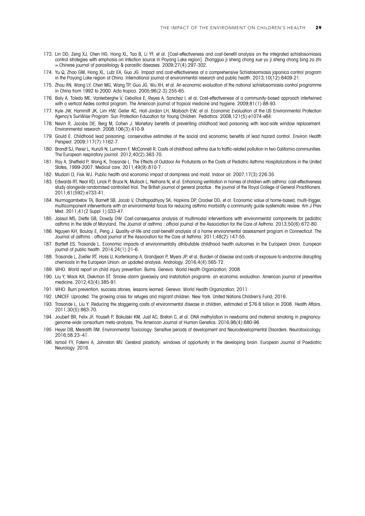- 173. Lin DD, Zeng XJ, Chen HG, Hong XL, Tao B, Li YF, et al. [Cost-effectiveness and cost-benefit analysis on the integrated schistosomiasis control strategies with emphasis on infection source in Poyang Lake region]. Zhongguo ji sheng chong xue yu ji sheng chong bing za zhi  $=$  Chinese journal of parasitology & parasitic diseases. 2009;27(4):297-302.
- 174. Yu Q, Zhao GM, Hong XL, Lutz EA, Guo JG. Impact and cost-effectiveness of a comprehensive Schistosomiasis japonica control program in the Poyang Lake region of China. International journal of environmental research and public health. 2013;10(12):6409-21.
- 175. Zhou XN, Wang LY, Chen MG, Wang TP, Guo JG, Wu XH, et al. An economic evaluation of the national schistosomiasis control programme in China from 1992 to 2000. Acta tropica. 2005;96(2-3):255-65.
- 176. Baly A, Toledo ME, Vanlerberghe V, Ceballos E, Reyes A, Sanchez I, et al. Cost-effectiveness of a community-based approach intertwined with a vertical Aedes control program. The American journal of tropical medicine and hygiene. 2009;81(1):88-93.
- 177. Kyle JW, Hammitt JK, Lim HW, Geller AC, Hall-Jordan LH, Maibach EW, et al. Economic Evaluation of the US Environmental Protection Agency's SunWise Program: Sun Protection Education for Young Children. Pediatrics. 2008;121(5):e1074-e84.
- 178. Nevin R, Jacobs DE, Berg M, Cohen J. Monetary benefits of preventing childhood lead poisoning with lead-safe window replacement. Environmental research. 2008;106(3):410-9.
- 179. Gould E. Childhood lead poisoning: conservative estimates of the social and economic benefits of lead hazard control. Environ Health Perspect. 2009;117(7):1162-7.
- 180. Brandt SJ, Perez L, Kunzli N, Lurmann F, McConnell R. Costs of childhood asthma due to traffic-related pollution in two California communities. The European respiratory journal. 2012;40(2):363-70.
- 181. Roy A, Sheffield P, Wong K, Trasande L. The Effects of Outdoor Air Pollutants on the Costs of Pediatric Asthma Hospitalizations in the United States, 1999-2007. Medical care. 2011;49(9):810-7.
- 182. Mudarri D, Fisk WJ. Public health and economic impact of dampness and mold. Indoor air. 2007;17(3):226-35.
- 183. Edwards RT, Neal RD, Linck P, Bruce N, Mullock L, Nelhans N, et al. Enhancing ventilation in homes of children with asthma: cost-effectiveness study alongside randomised controlled trial. The British journal of general practice : the journal of the Royal College of General Practitioners. 2011;61(592):e733-41.
- 184. Nurmagambetov TA, Barnett SB, Jacob V, Chattopadhyay SK, Hopkins DP, Crocker DD, et al. Economic value of home-based, multi-trigger multicomponent interventions with an environmental focus for reducing asthma morbidity a community guide systematic review. Am J Prev Med. 2011;41(2 Suppl 1):S33-47.
- 185. Jassal MS, Diette GB, Dowdy DW. Cost-consequence analysis of multimodal interventions with environmental components for pediatric asthma in the state of Maryland. The Journal of asthma : official journal of the Association for the Care of Asthma. 2013;50(6):672-80.
- 186. Nguyen KH, Boulay E, Peng J. Quality-of-life and cost-benefit analysis of a home environmental assessment program in Connecticut. The Journal of asthma : official journal of the Association for the Care of Asthma. 2011;48(2):147-55.
- 187. Bartlett ES, Trasande L. Economic impacts of environmentally attributable childhood health outcomes in the European Union. European journal of public health. 2014;24(1):21-6.
- 188. Trasande L, Zoeller RT, Hass U, Kortenkamp A, Grandjean P, Myers JP, et al. Burden of disease and costs of exposure to endocrine disrupting chemicals in the European Union: an updated analysis. Andrology. 2016;4(4):565-72.
- 189. WHO. World report on child injury prevention: Burns. Geneva: World Health Organization; 2008.
- 190. Liu Y, Mack KA, Diekman ST. Smoke alarm giveaway and installation programs: an economic evaluation. American journal of preventive medicine. 2012;43(4):385-91.
- 191. WHO. Burn prevention, success stories, lessons learned. Geneva: World Health Organization; 2011.
- 192. UNICEF. Uprooted. The growing crisis for refuges and migrant children. New York: United Nations Children's Fund; 2016.
- 193. Trasande L, Liu Y. Reducing the staggering costs of environmental disease in children, estimated at \$76.6 billion in 2008. Health Affairs. 2011;30(5):863-70.
- 194. Joubert BR, Felix JF, Yousefi P, Bakulski KM, Just AC, Breton C, et al. DNA methylation in newborns and maternal smoking in pregnancy: genome-wide consortium meta-analysis. The American Journal of Human Genetics. 2016;98(4):680-96.
- 195. Heyer DB, Meredith RM. Environmental Toxicology: Sensitive periods of development and Neurodevelopmental Disorders. Neurotoxicology. 2016;58:23–41.
- 196. Ismail FY, Fatemi A, Johnston MV. Cerebral plasticity: windows of opportunity in the developing brain. European Journal of Paediatric Neurology. 2016.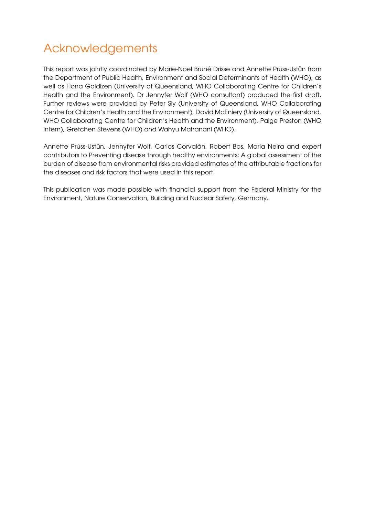## Acknowledgements

This report was jointly coordinated by Marie-Noel Bruné Drisse and Annette Prüss-Ustün from the Department of Public Health, Environment and Social Determinants of Health (WHO), as well as Fiona Goldizen (University of Queensland, WHO Collaborating Centre for Children's Health and the Environment). Dr Jennyfer Wolf (WHO consultant) produced the first draft. Further reviews were provided by Peter Sly (University of Queensland, WHO Collaborating Centre for Children's Health and the Environment), David McEniery (University of Queensland, WHO Collaborating Centre for Children's Health and the Environment), Paige Preston (WHO Intern), Gretchen Stevens (WHO) and Wahyu Mahanani (WHO).

Annette Prüss-Ustün, Jennyfer Wolf, Carlos Corvalán, Robert Bos, Maria Neira and expert contributors to Preventing disease through healthy environments: A global assessment of the burden of disease from environmental risks provided estimates of the attributable fractions for the diseases and risk factors that were used in this report.

This publication was made possible with financial support from the Federal Ministry for the Environment, Nature Conservation, Building and Nuclear Safety, Germany.